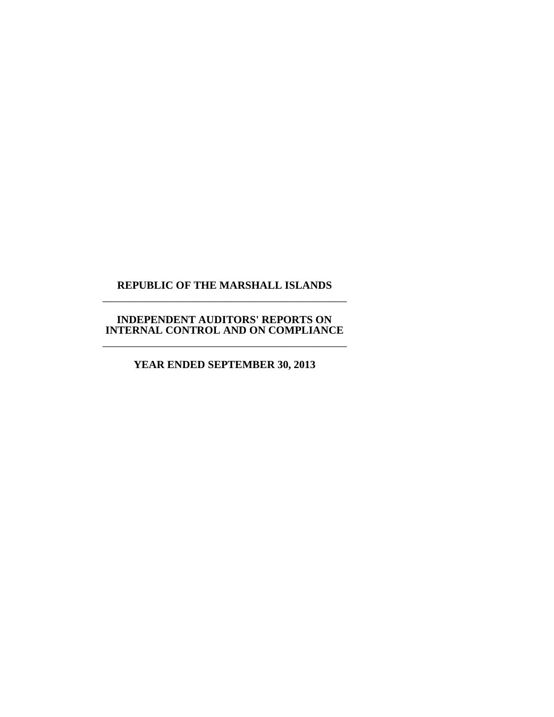#### **REPUBLIC OF THE MARSHALL ISLANDS** \_\_\_\_\_\_\_\_\_\_\_\_\_\_\_\_\_\_\_\_\_\_\_\_\_\_\_\_\_\_\_\_\_\_\_\_\_\_\_\_\_\_\_\_\_

#### **INDEPENDENT AUDITORS' REPORTS ON INTERNAL CONTROL AND ON COMPLIANCE** \_\_\_\_\_\_\_\_\_\_\_\_\_\_\_\_\_\_\_\_\_\_\_\_\_\_\_\_\_\_\_\_\_\_\_\_\_\_\_\_\_\_\_\_\_

**YEAR ENDED SEPTEMBER 30, 2013**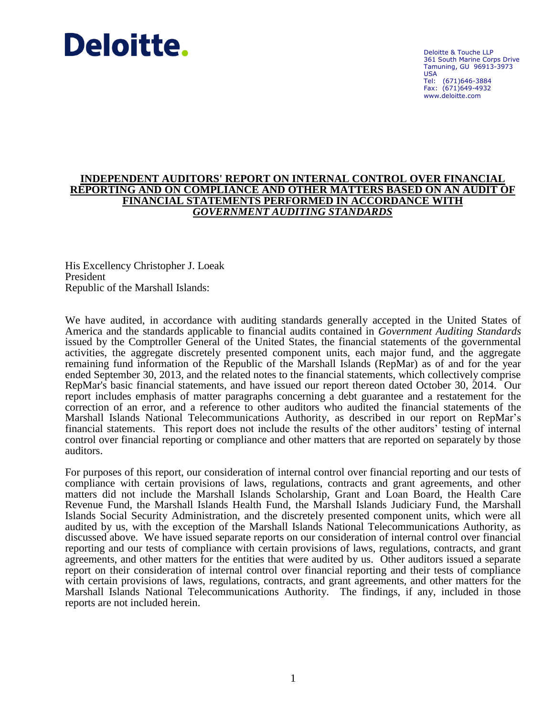# Deloitte.

Deloitte & Touche LLP 361 South Marine Corps Drive Tamuning, GU 96913-3973 USA Tel: (671)646-3884 Fax: (671)649-4932 www.deloitte.com

#### **INDEPENDENT AUDITORS' REPORT ON INTERNAL CONTROL OVER FINANCIAL REPORTING AND ON COMPLIANCE AND OTHER MATTERS BASED ON AN AUDIT OF FINANCIAL STATEMENTS PERFORMED IN ACCORDANCE WITH** *GOVERNMENT AUDITING STANDARDS*

His Excellency Christopher J. Loeak President Republic of the Marshall Islands:

We have audited, in accordance with auditing standards generally accepted in the United States of America and the standards applicable to financial audits contained in *Government Auditing Standards* issued by the Comptroller General of the United States, the financial statements of the governmental activities, the aggregate discretely presented component units, each major fund, and the aggregate remaining fund information of the Republic of the Marshall Islands (RepMar) as of and for the year ended September 30, 2013, and the related notes to the financial statements, which collectively comprise RepMar's basic financial statements, and have issued our report thereon dated October 30, 2014. Our report includes emphasis of matter paragraphs concerning a debt guarantee and a restatement for the correction of an error, and a reference to other auditors who audited the financial statements of the Marshall Islands National Telecommunications Authority, as described in our report on RepMar's financial statements. This report does not include the results of the other auditors' testing of internal control over financial reporting or compliance and other matters that are reported on separately by those auditors.

For purposes of this report, our consideration of internal control over financial reporting and our tests of compliance with certain provisions of laws, regulations, contracts and grant agreements, and other matters did not include the Marshall Islands Scholarship, Grant and Loan Board, the Health Care Revenue Fund, the Marshall Islands Health Fund, the Marshall Islands Judiciary Fund, the Marshall Islands Social Security Administration, and the discretely presented component units, which were all audited by us, with the exception of the Marshall Islands National Telecommunications Authority, as discussed above. We have issued separate reports on our consideration of internal control over financial reporting and our tests of compliance with certain provisions of laws, regulations, contracts, and grant agreements, and other matters for the entities that were audited by us. Other auditors issued a separate report on their consideration of internal control over financial reporting and their tests of compliance with certain provisions of laws, regulations, contracts, and grant agreements, and other matters for the Marshall Islands National Telecommunications Authority. The findings, if any, included in those reports are not included herein.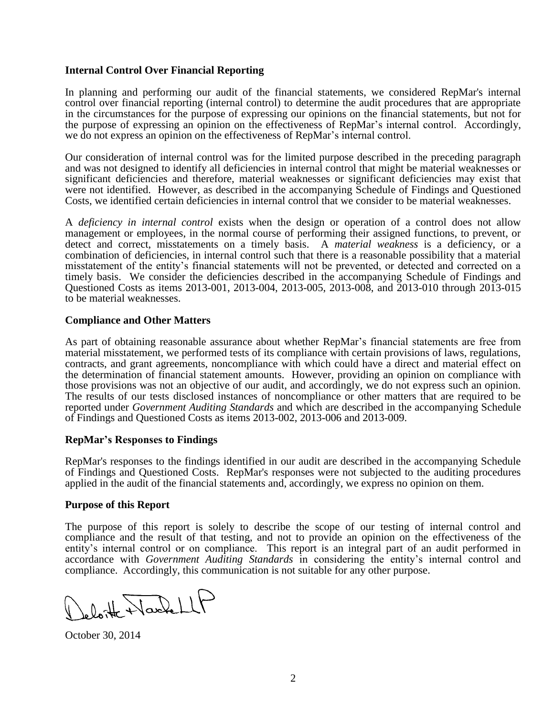#### **Internal Control Over Financial Reporting**

In planning and performing our audit of the financial statements, we considered RepMar's internal control over financial reporting (internal control) to determine the audit procedures that are appropriate in the circumstances for the purpose of expressing our opinions on the financial statements, but not for the purpose of expressing an opinion on the effectiveness of RepMar's internal control. Accordingly, we do not express an opinion on the effectiveness of RepMar's internal control.

Our consideration of internal control was for the limited purpose described in the preceding paragraph and was not designed to identify all deficiencies in internal control that might be material weaknesses or significant deficiencies and therefore, material weaknesses or significant deficiencies may exist that were not identified. However, as described in the accompanying Schedule of Findings and Questioned Costs, we identified certain deficiencies in internal control that we consider to be material weaknesses.

A *deficiency in internal control* exists when the design or operation of a control does not allow management or employees, in the normal course of performing their assigned functions, to prevent, or detect and correct, misstatements on a timely basis. A *material weakness* is a deficiency, or a combination of deficiencies, in internal control such that there is a reasonable possibility that a material misstatement of the entity's financial statements will not be prevented, or detected and corrected on a timely basis. We consider the deficiencies described in the accompanying Schedule of Findings and Questioned Costs as items 2013-001, 2013-004, 2013-005, 2013-008, and 2013-010 through 2013-015 to be material weaknesses.

#### **Compliance and Other Matters**

As part of obtaining reasonable assurance about whether RepMar's financial statements are free from material misstatement, we performed tests of its compliance with certain provisions of laws, regulations, contracts, and grant agreements, noncompliance with which could have a direct and material effect on the determination of financial statement amounts. However, providing an opinion on compliance with those provisions was not an objective of our audit, and accordingly, we do not express such an opinion. The results of our tests disclosed instances of noncompliance or other matters that are required to be reported under *Government Auditing Standards* and which are described in the accompanying Schedule of Findings and Questioned Costs as items 2013-002, 2013-006 and 2013-009.

#### **RepMar's Responses to Findings**

RepMar's responses to the findings identified in our audit are described in the accompanying Schedule of Findings and Questioned Costs. RepMar's responses were not subjected to the auditing procedures applied in the audit of the financial statements and, accordingly, we express no opinion on them.

#### **Purpose of this Report**

The purpose of this report is solely to describe the scope of our testing of internal control and compliance and the result of that testing, and not to provide an opinion on the effectiveness of the entity's internal control or on compliance. This report is an integral part of an audit performed in accordance with *Government Auditing Standards* in considering the entity's internal control and compliance. Accordingly, this communication is not suitable for any other purpose.

loite Nachell

October 30, 2014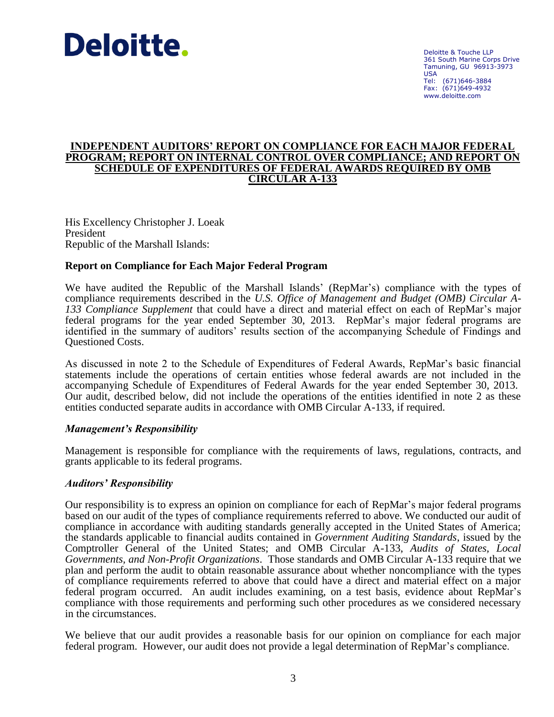# Deloitte.

Deloitte & Touche LLP 361 South Marine Corps Drive Tamuning, GU 96913-3973 USA Tel: (671)646-3884 Fax: (671)649-4932 www.deloitte.com

#### **INDEPENDENT AUDITORS' REPORT ON COMPLIANCE FOR EACH MAJOR FEDERAL PROGRAM; REPORT ON INTERNAL CONTROL OVER COMPLIANCE; AND REPORT ON SCHEDULE OF EXPENDITURES OF FEDERAL AWARDS REQUIRED BY OMB CIRCULAR A-133**

His Excellency Christopher J. Loeak President Republic of the Marshall Islands:

#### **Report on Compliance for Each Major Federal Program**

We have audited the Republic of the Marshall Islands' (RepMar's) compliance with the types of compliance requirements described in the *U.S. Office of Management and Budget (OMB) Circular A-133 Compliance Supplement* that could have a direct and material effect on each of RepMar's major federal programs for the year ended September 30, 2013. RepMar's major federal programs are identified in the summary of auditors' results section of the accompanying Schedule of Findings and Questioned Costs.

As discussed in note 2 to the Schedule of Expenditures of Federal Awards, RepMar's basic financial statements include the operations of certain entities whose federal awards are not included in the accompanying Schedule of Expenditures of Federal Awards for the year ended September 30, 2013. Our audit, described below, did not include the operations of the entities identified in note 2 as these entities conducted separate audits in accordance with OMB Circular A-133, if required.

#### *Management's Responsibility*

Management is responsible for compliance with the requirements of laws, regulations, contracts, and grants applicable to its federal programs.

#### *Auditors' Responsibility*

Our responsibility is to express an opinion on compliance for each of RepMar's major federal programs based on our audit of the types of compliance requirements referred to above. We conducted our audit of compliance in accordance with auditing standards generally accepted in the United States of America; the standards applicable to financial audits contained in *Government Auditing Standards*, issued by the Comptroller General of the United States; and OMB Circular A-133, *Audits of States, Local Governments, and Non-Profit Organizations*. Those standards and OMB Circular A-133 require that we plan and perform the audit to obtain reasonable assurance about whether noncompliance with the types of compliance requirements referred to above that could have a direct and material effect on a major federal program occurred. An audit includes examining, on a test basis, evidence about RepMar's compliance with those requirements and performing such other procedures as we considered necessary in the circumstances.

We believe that our audit provides a reasonable basis for our opinion on compliance for each major federal program. However, our audit does not provide a legal determination of RepMar's compliance.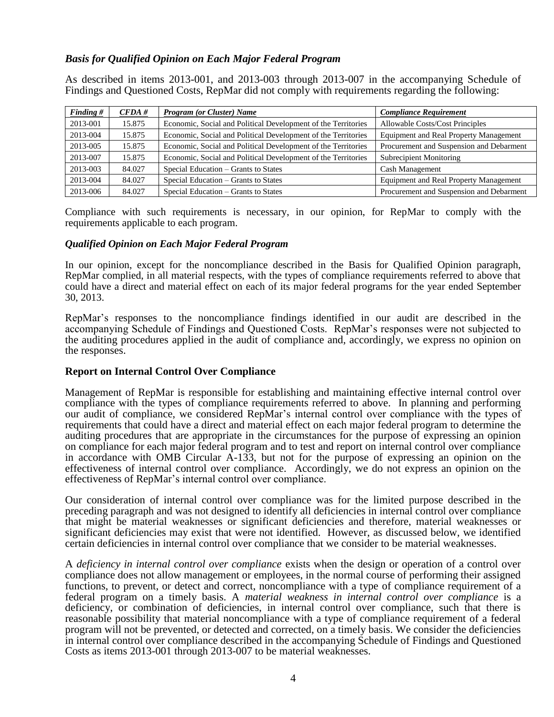#### *Basis for Qualified Opinion on Each Major Federal Program*

As described in items 2013-001, and 2013-003 through 2013-007 in the accompanying Schedule of Findings and Questioned Costs, RepMar did not comply with requirements regarding the following:

| Finding $#$ | CFDA#  | <b>Program (or Cluster) Name</b>                              | <b>Compliance Requirement</b>                 |
|-------------|--------|---------------------------------------------------------------|-----------------------------------------------|
| 2013-001    | 15.875 | Economic, Social and Political Development of the Territories | <b>Allowable Costs/Cost Principles</b>        |
| 2013-004    | 15.875 | Economic, Social and Political Development of the Territories | <b>Equipment and Real Property Management</b> |
| 2013-005    | 15.875 | Economic, Social and Political Development of the Territories | Procurement and Suspension and Debarment      |
| 2013-007    | 15.875 | Economic, Social and Political Development of the Territories | Subrecipient Monitoring                       |
| 2013-003    | 84.027 | Special Education – Grants to States                          | Cash Management                               |
| 2013-004    | 84.027 | Special Education – Grants to States                          | <b>Equipment and Real Property Management</b> |
| 2013-006    | 84.027 | Special Education – Grants to States                          | Procurement and Suspension and Debarment      |

Compliance with such requirements is necessary, in our opinion, for RepMar to comply with the requirements applicable to each program.

#### *Qualified Opinion on Each Major Federal Program*

In our opinion, except for the noncompliance described in the Basis for Qualified Opinion paragraph, RepMar complied, in all material respects, with the types of compliance requirements referred to above that could have a direct and material effect on each of its major federal programs for the year ended September 30, 2013.

RepMar's responses to the noncompliance findings identified in our audit are described in the accompanying Schedule of Findings and Questioned Costs. RepMar's responses were not subjected to the auditing procedures applied in the audit of compliance and, accordingly, we express no opinion on the responses.

#### **Report on Internal Control Over Compliance**

Management of RepMar is responsible for establishing and maintaining effective internal control over compliance with the types of compliance requirements referred to above. In planning and performing our audit of compliance, we considered RepMar's internal control over compliance with the types of requirements that could have a direct and material effect on each major federal program to determine the auditing procedures that are appropriate in the circumstances for the purpose of expressing an opinion on compliance for each major federal program and to test and report on internal control over compliance in accordance with OMB Circular A-133, but not for the purpose of expressing an opinion on the effectiveness of internal control over compliance. Accordingly, we do not express an opinion on the effectiveness of RepMar's internal control over compliance.

Our consideration of internal control over compliance was for the limited purpose described in the preceding paragraph and was not designed to identify all deficiencies in internal control over compliance that might be material weaknesses or significant deficiencies and therefore, material weaknesses or significant deficiencies may exist that were not identified. However, as discussed below, we identified certain deficiencies in internal control over compliance that we consider to be material weaknesses.

A *deficiency in internal control over compliance* exists when the design or operation of a control over compliance does not allow management or employees, in the normal course of performing their assigned functions, to prevent, or detect and correct, noncompliance with a type of compliance requirement of a federal program on a timely basis. A *material weakness in internal control over compliance* is a deficiency, or combination of deficiencies, in internal control over compliance, such that there is reasonable possibility that material noncompliance with a type of compliance requirement of a federal program will not be prevented, or detected and corrected, on a timely basis. We consider the deficiencies in internal control over compliance described in the accompanying Schedule of Findings and Questioned Costs as items 2013-001 through 2013-007 to be material weaknesses.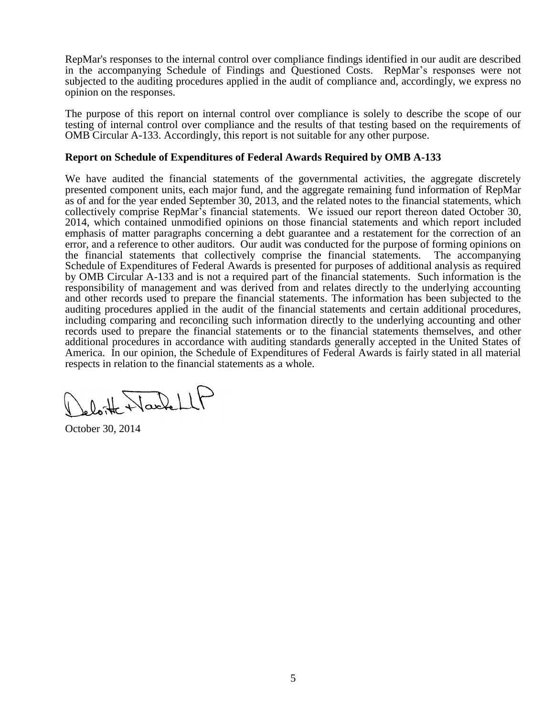RepMar's responses to the internal control over compliance findings identified in our audit are described in the accompanying Schedule of Findings and Questioned Costs. RepMar's responses were not subjected to the auditing procedures applied in the audit of compliance and, accordingly, we express no opinion on the responses.

The purpose of this report on internal control over compliance is solely to describe the scope of our testing of internal control over compliance and the results of that testing based on the requirements of OMB Circular A-133. Accordingly, this report is not suitable for any other purpose.

#### **Report on Schedule of Expenditures of Federal Awards Required by OMB A-133**

We have audited the financial statements of the governmental activities, the aggregate discretely presented component units, each major fund, and the aggregate remaining fund information of RepMar as of and for the year ended September 30, 2013, and the related notes to the financial statements, which collectively comprise RepMar's financial statements. We issued our report thereon dated October 30, 2014, which contained unmodified opinions on those financial statements and which report included emphasis of matter paragraphs concerning a debt guarantee and a restatement for the correction of an error, and a reference to other auditors. Our audit was conducted for the purpose of forming opinions on the financial statements that collectively comprise the financial statements. The accompanying Schedule of Expenditures of Federal Awards is presented for purposes of additional analysis as required by OMB Circular A-133 and is not a required part of the financial statements. Such information is the responsibility of management and was derived from and relates directly to the underlying accounting and other records used to prepare the financial statements. The information has been subjected to the auditing procedures applied in the audit of the financial statements and certain additional procedures, including comparing and reconciling such information directly to the underlying accounting and other records used to prepare the financial statements or to the financial statements themselves, and other additional procedures in accordance with auditing standards generally accepted in the United States of America. In our opinion, the Schedule of Expenditures of Federal Awards is fairly stated in all material respects in relation to the financial statements as a whole.

lette Hardell

October 30, 2014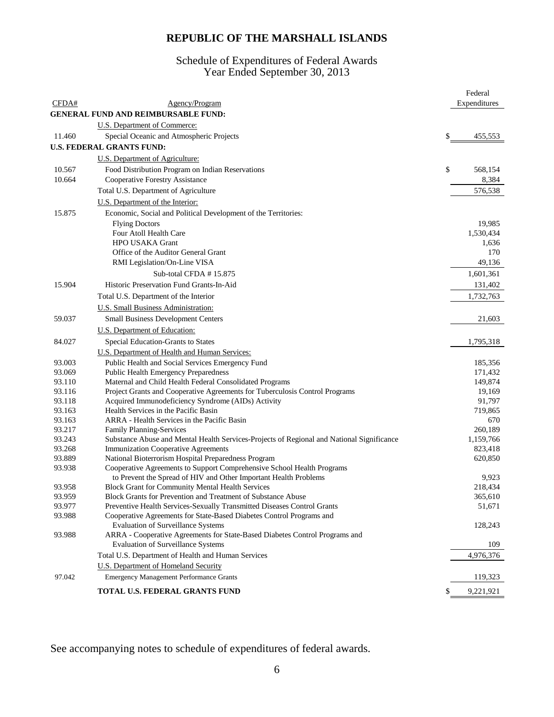#### Schedule of Expenditures of Federal Awards Year Ended September 30, 2013

|        |                                                                                           | Federal         |
|--------|-------------------------------------------------------------------------------------------|-----------------|
| CFDA#  | Agency/Program                                                                            | Expenditures    |
|        | <b>GENERAL FUND AND REIMBURSABLE FUND:</b>                                                |                 |
|        | U.S. Department of Commerce:                                                              |                 |
| 11.460 | Special Oceanic and Atmospheric Projects                                                  | \$<br>455,553   |
|        | <b>U.S. FEDERAL GRANTS FUND:</b>                                                          |                 |
|        |                                                                                           |                 |
|        | U.S. Department of Agriculture:                                                           |                 |
| 10.567 | Food Distribution Program on Indian Reservations                                          | \$<br>568,154   |
| 10.664 | Cooperative Forestry Assistance                                                           | 8,384           |
|        | Total U.S. Department of Agriculture                                                      | 576,538         |
|        | U.S. Department of the Interior:                                                          |                 |
| 15.875 | Economic, Social and Political Development of the Territories:                            |                 |
|        | <b>Flying Doctors</b>                                                                     | 19,985          |
|        | Four Atoll Health Care                                                                    | 1,530,434       |
|        | <b>HPO USAKA Grant</b>                                                                    | 1,636           |
|        | Office of the Auditor General Grant                                                       | 170             |
|        | RMI Legislation/On-Line VISA                                                              | 49,136          |
|        | Sub-total CFDA $# 15.875$                                                                 | 1,601,361       |
| 15.904 | Historic Preservation Fund Grants-In-Aid                                                  | 131,402         |
|        | Total U.S. Department of the Interior                                                     | 1,732,763       |
|        | U.S. Small Business Administration:                                                       |                 |
| 59.037 | <b>Small Business Development Centers</b>                                                 | 21,603          |
|        | U.S. Department of Education:                                                             |                 |
| 84.027 | Special Education-Grants to States                                                        | 1,795,318       |
|        | U.S. Department of Health and Human Services:                                             |                 |
| 93.003 | Public Health and Social Services Emergency Fund                                          | 185,356         |
| 93.069 | <b>Public Health Emergency Preparedness</b>                                               | 171,432         |
| 93.110 | Maternal and Child Health Federal Consolidated Programs                                   | 149,874         |
| 93.116 | Project Grants and Cooperative Agreements for Tuberculosis Control Programs               | 19,169          |
| 93.118 | Acquired Immunodeficiency Syndrome (AIDs) Activity                                        | 91,797          |
| 93.163 | Health Services in the Pacific Basin                                                      | 719,865         |
| 93.163 | ARRA - Health Services in the Pacific Basin                                               | 670             |
| 93.217 | <b>Family Planning-Services</b>                                                           | 260,189         |
| 93.243 | Substance Abuse and Mental Health Services-Projects of Regional and National Significance | 1,159,766       |
| 93.268 | <b>Immunization Cooperative Agreements</b>                                                | 823,418         |
| 93.889 | National Bioterrorism Hospital Preparedness Program                                       | 620,850         |
| 93.938 | Cooperative Agreements to Support Comprehensive School Health Programs                    |                 |
|        | to Prevent the Spread of HIV and Other Important Health Problems                          | 9,923           |
| 93.958 | <b>Block Grant for Community Mental Health Services</b>                                   | 218,434         |
| 93.959 | Block Grants for Prevention and Treatment of Substance Abuse                              | 365,610         |
| 93.977 | Preventive Health Services-Sexually Transmitted Diseases Control Grants                   | 51,671          |
| 93.988 | Cooperative Agreements for State-Based Diabetes Control Programs and                      |                 |
|        | <b>Evaluation of Surveillance Systems</b>                                                 | 128,243         |
| 93.988 | ARRA - Cooperative Agreements for State-Based Diabetes Control Programs and               |                 |
|        | <b>Evaluation of Surveillance Systems</b>                                                 | 109             |
|        | Total U.S. Department of Health and Human Services                                        | 4,976,376       |
|        | <b>U.S. Department of Homeland Security</b>                                               |                 |
| 97.042 | <b>Emergency Management Performance Grants</b>                                            | 119,323         |
|        | TOTAL U.S. FEDERAL GRANTS FUND                                                            | \$<br>9,221,921 |

See accompanying notes to schedule of expenditures of federal awards.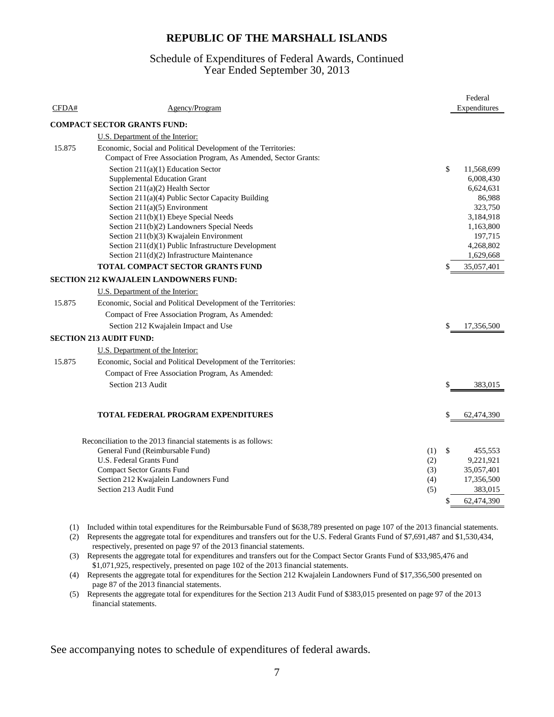#### Year Ended September 30, 2013 Schedule of Expenditures of Federal Awards, Continued

|        |                                                                 |     |              | Federal      |
|--------|-----------------------------------------------------------------|-----|--------------|--------------|
| CFDA#  | Agency/Program                                                  |     |              | Expenditures |
|        | <b>COMPACT SECTOR GRANTS FUND:</b>                              |     |              |              |
|        | U.S. Department of the Interior:                                |     |              |              |
| 15.875 | Economic, Social and Political Development of the Territories:  |     |              |              |
|        | Compact of Free Association Program, As Amended, Sector Grants: |     |              |              |
|        | Section $211(a)(1)$ Education Sector                            |     | $\mathbb{S}$ | 11,568,699   |
|        | <b>Supplemental Education Grant</b>                             |     |              | 6,008,430    |
|        | Section $211(a)(2)$ Health Sector                               |     |              | 6,624,631    |
|        | Section 211(a)(4) Public Sector Capacity Building               |     |              | 86,988       |
|        | Section $211(a)(5)$ Environment                                 |     |              | 323,750      |
|        | Section 211(b)(1) Ebeye Special Needs                           |     |              | 3,184,918    |
|        | Section 211(b)(2) Landowners Special Needs                      |     |              | 1,163,800    |
|        | Section 211(b)(3) Kwajalein Environment                         |     |              | 197,715      |
|        | Section 211(d)(1) Public Infrastructure Development             |     |              | 4,268,802    |
|        | Section 211(d)(2) Infrastructure Maintenance                    |     |              | 1,629,668    |
|        | TOTAL COMPACT SECTOR GRANTS FUND                                |     |              | 35,057,401   |
|        | <b>SECTION 212 KWAJALEIN LANDOWNERS FUND:</b>                   |     |              |              |
|        | U.S. Department of the Interior:                                |     |              |              |
| 15.875 | Economic, Social and Political Development of the Territories:  |     |              |              |
|        | Compact of Free Association Program, As Amended:                |     |              |              |
|        | Section 212 Kwajalein Impact and Use                            |     | \$           | 17,356,500   |
|        | <b>SECTION 213 AUDIT FUND:</b>                                  |     |              |              |
|        | U.S. Department of the Interior:                                |     |              |              |
| 15.875 | Economic, Social and Political Development of the Territories:  |     |              |              |
|        | Compact of Free Association Program, As Amended:                |     |              |              |
|        | Section 213 Audit                                               |     | \$           | 383,015      |
|        |                                                                 |     |              |              |
|        | <b>TOTAL FEDERAL PROGRAM EXPENDITURES</b>                       |     | S            | 62,474,390   |
|        | Reconciliation to the 2013 financial statements is as follows:  |     |              |              |
|        | General Fund (Reimbursable Fund)                                | (1) | \$           | 455,553      |
|        | U.S. Federal Grants Fund                                        | (2) |              | 9,221,921    |
|        | <b>Compact Sector Grants Fund</b>                               | (3) |              | 35,057,401   |
|        | Section 212 Kwajalein Landowners Fund                           | (4) |              | 17,356,500   |
|        | Section 213 Audit Fund                                          | (5) |              | 383.015      |
|        |                                                                 |     | \$           | 62,474,390   |
|        |                                                                 |     |              |              |

(1) Included within total expenditures for the Reimbursable Fund of \$638,789 presented on page 107 of the 2013 financial statements.

(2) Represents the aggregate total for expenditures and transfers out for the U.S. Federal Grants Fund of \$7,691,487 and \$1,530,434, respectively, presented on page 97 of the 2013 financial statements.

(3) Represents the aggregate total for expenditures and transfers out for the Compact Sector Grants Fund of \$33,985,476 and \$1,071,925, respectively, presented on page 102 of the 2013 financial statements.

(4) Represents the aggregate total for expenditures for the Section 212 Kwajalein Landowners Fund of \$17,356,500 presented on page 87 of the 2013 financial statements.

(5) Represents the aggregate total for expenditures for the Section 213 Audit Fund of \$383,015 presented on page 97 of the 2013 financial statements.

See accompanying notes to schedule of expenditures of federal awards.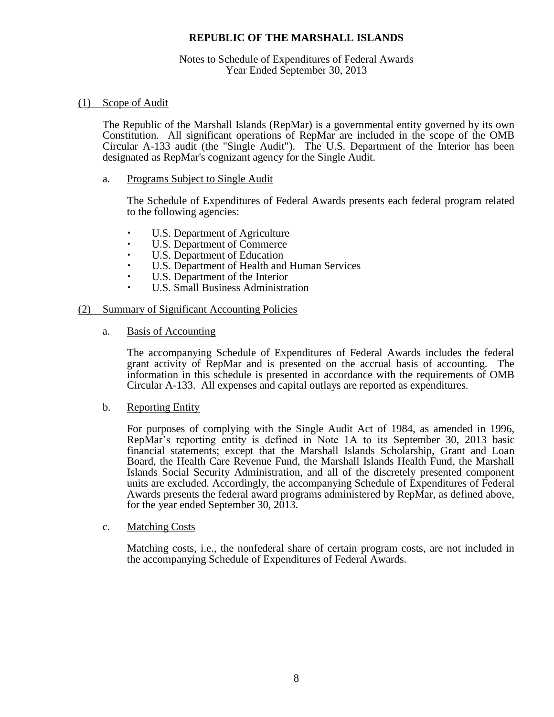#### Notes to Schedule of Expenditures of Federal Awards Year Ended September 30, 2013

#### (1) Scope of Audit

The Republic of the Marshall Islands (RepMar) is a governmental entity governed by its own Constitution. All significant operations of RepMar are included in the scope of the OMB Circular A-133 audit (the "Single Audit"). The U.S. Department of the Interior has been designated as RepMar's cognizant agency for the Single Audit.

a. Programs Subject to Single Audit

The Schedule of Expenditures of Federal Awards presents each federal program related to the following agencies:

- U.S. Department of Agriculture
- U.S. Department of Commerce
- U.S. Department of Education
- U.S. Department of Health and Human Services
- U.S. Department of the Interior
- U.S. Small Business Administration

#### (2) Summary of Significant Accounting Policies

a. Basis of Accounting

The accompanying Schedule of Expenditures of Federal Awards includes the federal grant activity of RepMar and is presented on the accrual basis of accounting. The information in this schedule is presented in accordance with the requirements of OMB Circular A-133. All expenses and capital outlays are reported as expenditures.

b. Reporting Entity

For purposes of complying with the Single Audit Act of 1984, as amended in 1996, RepMar's reporting entity is defined in Note 1A to its September 30, 2013 basic financial statements; except that the Marshall Islands Scholarship, Grant and Loan Board, the Health Care Revenue Fund, the Marshall Islands Health Fund, the Marshall Islands Social Security Administration, and all of the discretely presented component units are excluded. Accordingly, the accompanying Schedule of Expenditures of Federal Awards presents the federal award programs administered by RepMar, as defined above, for the year ended September 30, 2013.

c. Matching Costs

Matching costs, i.e., the nonfederal share of certain program costs, are not included in the accompanying Schedule of Expenditures of Federal Awards.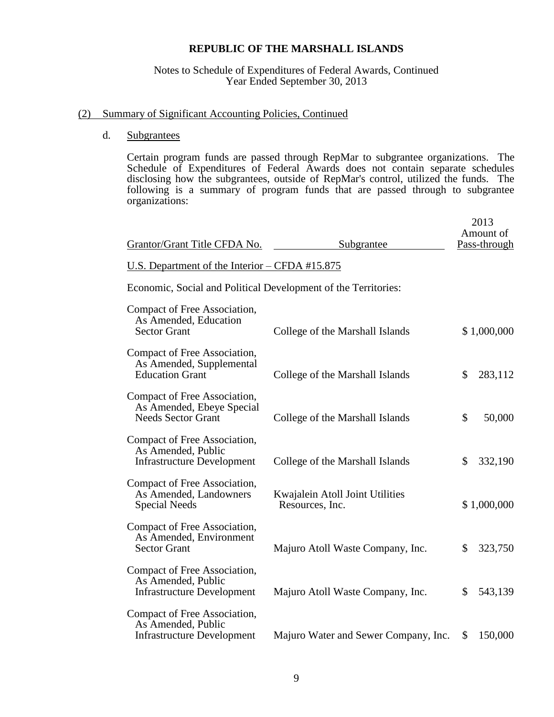#### Notes to Schedule of Expenditures of Federal Awards, Continued Year Ended September 30, 2013

#### (2) Summary of Significant Accounting Policies, Continued

#### d. Subgrantees

Certain program funds are passed through RepMar to subgrantee organizations. The Schedule of Expenditures of Federal Awards does not contain separate schedules disclosing how the subgrantees, outside of RepMar's control, utilized the funds. The following is a summary of program funds that are passed through to subgrantee organizations:

| U.S. Department of the Interior – CFDA #15.875                                                                                        |             |
|---------------------------------------------------------------------------------------------------------------------------------------|-------------|
|                                                                                                                                       |             |
| Economic, Social and Political Development of the Territories:                                                                        |             |
| Compact of Free Association,<br>As Amended, Education<br>College of the Marshall Islands<br><b>Sector Grant</b>                       | \$1,000,000 |
| Compact of Free Association,<br>As Amended, Supplemental<br><b>Education Grant</b><br>College of the Marshall Islands<br>\$           | 283,112     |
| Compact of Free Association,<br>As Amended, Ebeye Special<br><b>Needs Sector Grant</b><br>\$<br>College of the Marshall Islands       | 50,000      |
| Compact of Free Association,<br>As Amended, Public<br>College of the Marshall Islands<br><b>Infrastructure Development</b><br>\$      | 332,190     |
| Compact of Free Association,<br>As Amended, Landowners<br>Kwajalein Atoll Joint Utilities<br><b>Special Needs</b><br>Resources, Inc.  | \$1,000,000 |
| Compact of Free Association,<br>As Amended, Environment<br><b>Sector Grant</b><br>\$<br>Majuro Atoll Waste Company, Inc.              | 323,750     |
| Compact of Free Association,<br>As Amended, Public<br><b>Infrastructure Development</b><br>Majuro Atoll Waste Company, Inc.<br>\$     | 543,139     |
| Compact of Free Association,<br>As Amended, Public<br><b>Infrastructure Development</b><br>Majuro Water and Sewer Company, Inc.<br>\$ | 150,000     |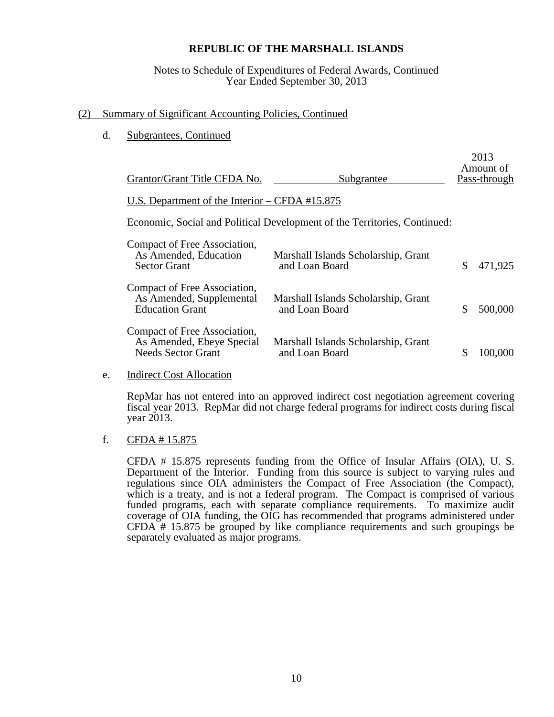#### Notes to Schedule of Expenditures of Federal Awards, Continued Year Ended September 30, 2013

#### (2) Summary of Significant Accounting Policies, Continued

d. Subgrantees, Continued

| Grantor/Grant Title CFDA No.                                                           | Subgrantee                                                                | 2013<br>Amount of<br>Pass-through |
|----------------------------------------------------------------------------------------|---------------------------------------------------------------------------|-----------------------------------|
| U.S. Department of the Interior $-$ CFDA #15.875                                       |                                                                           |                                   |
|                                                                                        | Economic, Social and Political Development of the Territories, Continued: |                                   |
| Compact of Free Association,<br>As Amended, Education<br><b>Sector Grant</b>           | Marshall Islands Scholarship, Grant<br>and Loan Board                     | \$<br>471,925                     |
| Compact of Free Association,<br>As Amended, Supplemental<br><b>Education Grant</b>     | Marshall Islands Scholarship, Grant<br>and Loan Board                     | \$<br>500,000                     |
| Compact of Free Association,<br>As Amended, Ebeye Special<br><b>Needs Sector Grant</b> | Marshall Islands Scholarship, Grant<br>and Loan Board                     | 100,000                           |

e. Indirect Cost Allocation

RepMar has not entered into an approved indirect cost negotiation agreement covering fiscal year 2013. RepMar did not charge federal programs for indirect costs during fiscal year 2013.

#### f. CFDA  $\#$  15.875

CFDA # 15.875 represents funding from the Office of Insular Affairs (OIA), U. S. Department of the Interior. Funding from this source is subject to varying rules and regulations since OIA administers the Compact of Free Association (the Compact), which is a treaty, and is not a federal program. The Compact is comprised of various funded programs, each with separate compliance requirements. To maximize audit coverage of OIA funding, the OIG has recommended that programs administered under CFDA # 15.875 be grouped by like compliance requirements and such groupings be separately evaluated as major programs.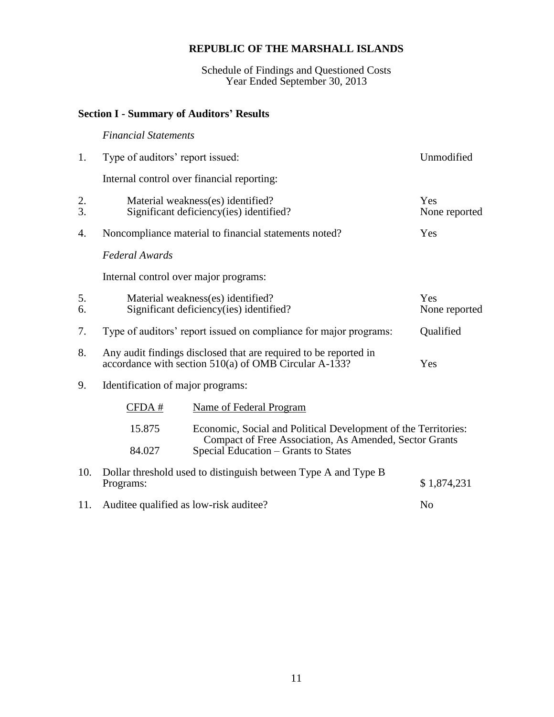Schedule of Findings and Questioned Costs Year Ended September 30, 2013

#### **Section I - Summary of Auditors' Results**

# *Financial Statements* 1. Type of auditors' report issued: Unmodified Internal control over financial reporting: 2. Material weakness(es) identified? Yes 3. Significant deficiency(ies) identified? None reported 4. Noncompliance material to financial statements noted? Yes *Federal Awards* Internal control over major programs: 5. Material weakness(es) identified? Yes 6. Significant deficiency(ies) identified? None reported 7. Type of auditors' report issued on compliance for major programs: Qualified 8. Any audit findings disclosed that are required to be reported in accordance with section 510(a) of OMB Circular A-133? Yes 9. Identification of major programs: CFDA # Name of Federal Program 15.875 Economic, Social and Political Development of the Territories: Compact of Free Association, As Amended, Sector Grants 84.027 Special Education – Grants to States 10. Dollar threshold used to distinguish between Type A and Type B  $$ 1,874,231$ 11. Auditee qualified as low-risk auditee? No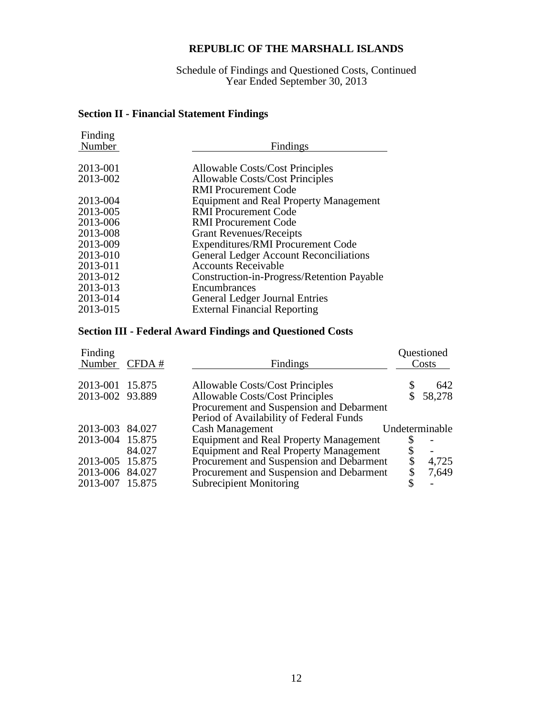Schedule of Findings and Questioned Costs, Continued Year Ended September 30, 2013

# **Section II - Financial Statement Findings**

| Finding<br>Number | Findings                                      |
|-------------------|-----------------------------------------------|
| 2013-001          | Allowable Costs/Cost Principles               |
| 2013-002          | <b>Allowable Costs/Cost Principles</b>        |
|                   | <b>RMI</b> Procurement Code                   |
| 2013-004          | <b>Equipment and Real Property Management</b> |
| 2013-005          | <b>RMI</b> Procurement Code                   |
| 2013-006          | <b>RMI</b> Procurement Code                   |
| 2013-008          | <b>Grant Revenues/Receipts</b>                |
| 2013-009          | <b>Expenditures/RMI Procurement Code</b>      |
| 2013-010          | <b>General Ledger Account Reconciliations</b> |
| 2013-011          | <b>Accounts Receivable</b>                    |
| 2013-012          | Construction-in-Progress/Retention Payable    |
| 2013-013          | Encumbrances                                  |
| 2013-014          | <b>General Ledger Journal Entries</b>         |
| 2013-015          | <b>External Financial Reporting</b>           |
|                   |                                               |

### **Section III - Federal Award Findings and Questioned Costs**

| Finding<br>Number CFDA# |        | Findings                                                                            | Questioned<br>Costs      |
|-------------------------|--------|-------------------------------------------------------------------------------------|--------------------------|
| 2013-001 15.875         |        | Allowable Costs/Cost Principles                                                     | 642                      |
| 2013-002 93.889         |        | <b>Allowable Costs/Cost Principles</b>                                              | 58,278                   |
|                         |        | Procurement and Suspension and Debarment<br>Period of Availability of Federal Funds |                          |
| 2013-003 84.027         |        | <b>Cash Management</b>                                                              | Undeterminable           |
| 2013-004 15.875         |        | <b>Equipment and Real Property Management</b>                                       |                          |
|                         | 84.027 | <b>Equipment and Real Property Management</b>                                       | $\overline{\phantom{0}}$ |
| 2013-005 15.875         |        | Procurement and Suspension and Debarment                                            | 4,725                    |
| 2013-006 84.027         |        | Procurement and Suspension and Debarment                                            | 7,649                    |
| 2013-007                | 15.875 | <b>Subrecipient Monitoring</b>                                                      | \$                       |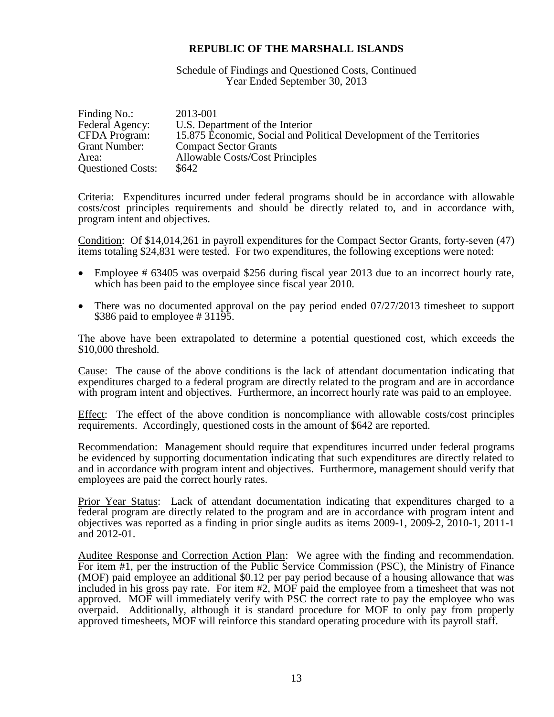Schedule of Findings and Questioned Costs, Continued Year Ended September 30, 2013

| Finding No.:             | 2013-001                                                             |
|--------------------------|----------------------------------------------------------------------|
| Federal Agency:          | U.S. Department of the Interior                                      |
| <b>CFDA</b> Program:     | 15.875 Economic, Social and Political Development of the Territories |
| Grant Number:            | <b>Compact Sector Grants</b>                                         |
| Area:                    | <b>Allowable Costs/Cost Principles</b>                               |
| <b>Questioned Costs:</b> | \$642                                                                |

Criteria: Expenditures incurred under federal programs should be in accordance with allowable costs/cost principles requirements and should be directly related to, and in accordance with, program intent and objectives.

Condition: Of \$14,014,261 in payroll expenditures for the Compact Sector Grants, forty-seven (47) items totaling \$24,831 were tested. For two expenditures, the following exceptions were noted:

- Employee # 63405 was overpaid \$256 during fiscal year 2013 due to an incorrect hourly rate, which has been paid to the employee since fiscal year 2010.
- There was no documented approval on the pay period ended 07/27/2013 timesheet to support \$386 paid to employee # 31195.

The above have been extrapolated to determine a potential questioned cost, which exceeds the \$10,000 threshold.

Cause: The cause of the above conditions is the lack of attendant documentation indicating that expenditures charged to a federal program are directly related to the program and are in accordance with program intent and objectives. Furthermore, an incorrect hourly rate was paid to an employee.

Effect: The effect of the above condition is noncompliance with allowable costs/cost principles requirements. Accordingly, questioned costs in the amount of \$642 are reported.

Recommendation: Management should require that expenditures incurred under federal programs be evidenced by supporting documentation indicating that such expenditures are directly related to and in accordance with program intent and objectives. Furthermore, management should verify that employees are paid the correct hourly rates.

Prior Year Status: Lack of attendant documentation indicating that expenditures charged to a federal program are directly related to the program and are in accordance with program intent and objectives was reported as a finding in prior single audits as items 2009-1, 2009-2, 2010-1, 2011-1 and 2012-01.

Auditee Response and Correction Action Plan: We agree with the finding and recommendation. For item #1, per the instruction of the Public Service Commission (PSC), the Ministry of Finance (MOF) paid employee an additional \$0.12 per pay period because of a housing allowance that was included in his gross pay rate. For item #2, MOF paid the employee from a timesheet that was not approved. MOF will immediately verify with PSC the correct rate to pay the employee who was overpaid. Additionally, although it is standard procedure for MOF to only pay from properly approved timesheets, MOF will reinforce this standard operating procedure with its payroll staff.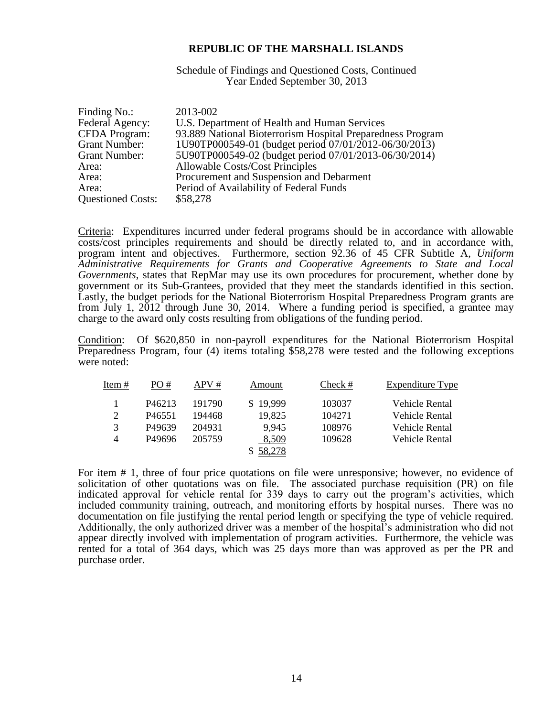Schedule of Findings and Questioned Costs, Continued Year Ended September 30, 2013

| Finding No.:             | 2013-002                                                   |
|--------------------------|------------------------------------------------------------|
| Federal Agency:          | U.S. Department of Health and Human Services               |
| <b>CFDA</b> Program:     | 93.889 National Bioterrorism Hospital Preparedness Program |
| <b>Grant Number:</b>     | 1U90TP000549-01 (budget period 07/01/2012-06/30/2013)      |
| <b>Grant Number:</b>     | 5U90TP000549-02 (budget period 07/01/2013-06/30/2014)      |
| Area:                    | <b>Allowable Costs/Cost Principles</b>                     |
| Area:                    | Procurement and Suspension and Debarment                   |
| Area:                    | Period of Availability of Federal Funds                    |
| <b>Questioned Costs:</b> | \$58,278                                                   |

Criteria: Expenditures incurred under federal programs should be in accordance with allowable costs/cost principles requirements and should be directly related to, and in accordance with, program intent and objectives. Furthermore, section 92.36 of 45 CFR Subtitle A, *Uniform Administrative Requirements for Grants and Cooperative Agreements to State and Local Governments*, states that RepMar may use its own procedures for procurement, whether done by government or its Sub-Grantees, provided that they meet the standards identified in this section. Lastly, the budget periods for the National Bioterrorism Hospital Preparedness Program grants are from July 1,  $2012$  through June 30, 2014. Where a funding period is specified, a grantee may charge to the award only costs resulting from obligations of the funding period.

Condition: Of \$620,850 in non-payroll expenditures for the National Bioterrorism Hospital Preparedness Program, four (4) items totaling \$58,278 were tested and the following exceptions were noted:

| Item $#$       | PO#                | APV#   | Amount       | Check # | Expenditure Type |
|----------------|--------------------|--------|--------------|---------|------------------|
|                | P <sub>46213</sub> | 191790 | 19,999<br>S. | 103037  | Vehicle Rental   |
| 2              | P <sub>46551</sub> | 194468 | 19,825       | 104271  | Vehicle Rental   |
| 3              | P49639             | 204931 | 9,945        | 108976  | Vehicle Rental   |
| $\overline{4}$ | P49696             | 205759 | 8,509        | 109628  | Vehicle Rental   |
|                |                    |        | 58,278       |         |                  |

For item # 1, three of four price quotations on file were unresponsive; however, no evidence of solicitation of other quotations was on file. The associated purchase requisition (PR) on file indicated approval for vehicle rental for 339 days to carry out the program's activities, which included community training, outreach, and monitoring efforts by hospital nurses. There was no documentation on file justifying the rental period length or specifying the type of vehicle required. Additionally, the only authorized driver was a member of the hospital's administration who did not appear directly involved with implementation of program activities. Furthermore, the vehicle was rented for a total of 364 days, which was 25 days more than was approved as per the PR and purchase order.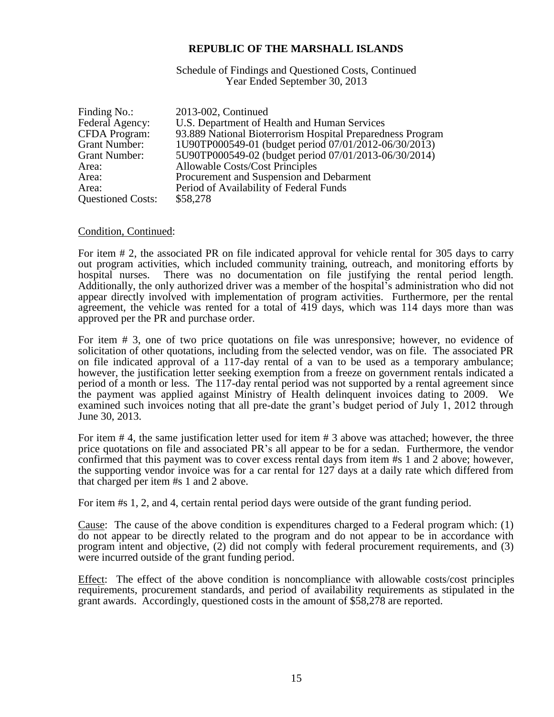Schedule of Findings and Questioned Costs, Continued Year Ended September 30, 2013

| Finding No.:             | 2013-002, Continued                                        |
|--------------------------|------------------------------------------------------------|
| Federal Agency:          | U.S. Department of Health and Human Services               |
| <b>CFDA</b> Program:     | 93.889 National Bioterrorism Hospital Preparedness Program |
| <b>Grant Number:</b>     | 1U90TP000549-01 (budget period 07/01/2012-06/30/2013)      |
| <b>Grant Number:</b>     | 5U90TP000549-02 (budget period 07/01/2013-06/30/2014)      |
| Area:                    | <b>Allowable Costs/Cost Principles</b>                     |
| Area:                    | Procurement and Suspension and Debarment                   |
| Area:                    | Period of Availability of Federal Funds                    |
| <b>Questioned Costs:</b> | \$58,278                                                   |

#### Condition, Continued:

For item # 2, the associated PR on file indicated approval for vehicle rental for 305 days to carry out program activities, which included community training, outreach, and monitoring efforts by hospital nurses. There was no documentation on file justifying the rental period length. Additionally, the only authorized driver was a member of the hospital's administration who did not appear directly involved with implementation of program activities. Furthermore, per the rental agreement, the vehicle was rented for a total of 419 days, which was 114 days more than was approved per the PR and purchase order.

For item # 3, one of two price quotations on file was unresponsive; however, no evidence of solicitation of other quotations, including from the selected vendor, was on file. The associated PR on file indicated approval of a 117-day rental of a van to be used as a temporary ambulance; however, the justification letter seeking exemption from a freeze on government rentals indicated a period of a month or less. The 117-day rental period was not supported by a rental agreement since the payment was applied against Ministry of Health delinquent invoices dating to 2009. We examined such invoices noting that all pre-date the grant's budget period of July 1, 2012 through June 30, 2013.

For item # 4, the same justification letter used for item # 3 above was attached; however, the three price quotations on file and associated PR's all appear to be for a sedan. Furthermore, the vendor confirmed that this payment was to cover excess rental days from item #s 1 and 2 above; however, the supporting vendor invoice was for a car rental for 127 days at a daily rate which differed from that charged per item #s 1 and 2 above.

For item #s 1, 2, and 4, certain rental period days were outside of the grant funding period.

Cause: The cause of the above condition is expenditures charged to a Federal program which: (1) do not appear to be directly related to the program and do not appear to be in accordance with program intent and objective, (2) did not comply with federal procurement requirements, and (3) were incurred outside of the grant funding period.

Effect: The effect of the above condition is noncompliance with allowable costs/cost principles requirements, procurement standards, and period of availability requirements as stipulated in the grant awards. Accordingly, questioned costs in the amount of \$58,278 are reported.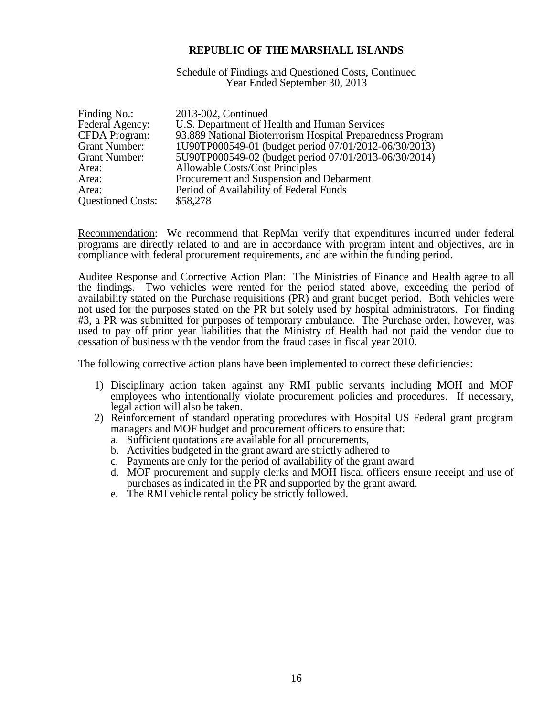Schedule of Findings and Questioned Costs, Continued Year Ended September 30, 2013

| Finding No.:             | 2013-002, Continued                                        |
|--------------------------|------------------------------------------------------------|
| Federal Agency:          | U.S. Department of Health and Human Services               |
| <b>CFDA</b> Program:     | 93.889 National Bioterrorism Hospital Preparedness Program |
| <b>Grant Number:</b>     | 1U90TP000549-01 (budget period 07/01/2012-06/30/2013)      |
| <b>Grant Number:</b>     | 5U90TP000549-02 (budget period 07/01/2013-06/30/2014)      |
| Area:                    | <b>Allowable Costs/Cost Principles</b>                     |
| Area:                    | Procurement and Suspension and Debarment                   |
| Area:                    | Period of Availability of Federal Funds                    |
| <b>Questioned Costs:</b> | \$58,278                                                   |

Recommendation: We recommend that RepMar verify that expenditures incurred under federal programs are directly related to and are in accordance with program intent and objectives, are in compliance with federal procurement requirements, and are within the funding period.

Auditee Response and Corrective Action Plan: The Ministries of Finance and Health agree to all the findings. Two vehicles were rented for the period stated above, exceeding the period of availability stated on the Purchase requisitions (PR) and grant budget period. Both vehicles were not used for the purposes stated on the PR but solely used by hospital administrators. For finding #3, a PR was submitted for purposes of temporary ambulance. The Purchase order, however, was used to pay off prior year liabilities that the Ministry of Health had not paid the vendor due to cessation of business with the vendor from the fraud cases in fiscal year 2010.

The following corrective action plans have been implemented to correct these deficiencies:

- 1) Disciplinary action taken against any RMI public servants including MOH and MOF employees who intentionally violate procurement policies and procedures. If necessary, legal action will also be taken.
- 2) Reinforcement of standard operating procedures with Hospital US Federal grant program managers and MOF budget and procurement officers to ensure that:
	- a. Sufficient quotations are available for all procurements,
	- b. Activities budgeted in the grant award are strictly adhered to
	- c. Payments are only for the period of availability of the grant award
	- d. MOF procurement and supply clerks and MOH fiscal officers ensure receipt and use of purchases as indicated in the PR and supported by the grant award.
	- e. The RMI vehicle rental policy be strictly followed.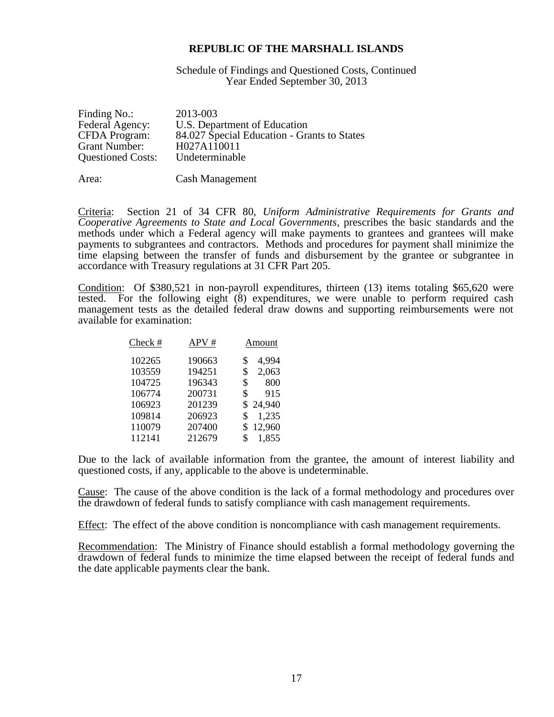Schedule of Findings and Questioned Costs, Continued Year Ended September 30, 2013

| <b>CFDA</b> Program:<br>H027A110011<br><b>Grant Number:</b><br>Undeterminable<br><b>Questioned Costs:</b> | Finding No.:<br>Federal Agency: | 2013-003<br>U.S. Department of Education<br>84.027 Special Education - Grants to States |
|-----------------------------------------------------------------------------------------------------------|---------------------------------|-----------------------------------------------------------------------------------------|
|-----------------------------------------------------------------------------------------------------------|---------------------------------|-----------------------------------------------------------------------------------------|

Area: Cash Management

Criteria: Section 21 of 34 CFR 80, *Uniform Administrative Requirements for Grants and Cooperative Agreements to State and Local Governments*, prescribes the basic standards and the methods under which a Federal agency will make payments to grantees and grantees will make payments to subgrantees and contractors. Methods and procedures for payment shall minimize the time elapsing between the transfer of funds and disbursement by the grantee or subgrantee in accordance with Treasury regulations at 31 CFR Part 205.

Condition: Of \$380,521 in non-payroll expenditures, thirteen (13) items totaling \$65,620 were tested. For the following eight (8) expenditures, we were unable to perform required cash management tests as the detailed federal draw downs and supporting reimbursements were not available for examination:

| Check # | APV#   | Amount       |
|---------|--------|--------------|
| 102265  | 190663 | 4,994<br>\$  |
| 103559  | 194251 | 2,063<br>\$  |
| 104725  | 196343 | 800<br>\$    |
| 106774  | 200731 | \$<br>915    |
| 106923  | 201239 | \$24,940     |
| 109814  | 206923 | 1,235<br>\$. |
| 110079  | 207400 | 12,960       |
| 112141  | 212679 | 1,855<br>\$. |

Due to the lack of available information from the grantee, the amount of interest liability and questioned costs, if any, applicable to the above is undeterminable.

Cause: The cause of the above condition is the lack of a formal methodology and procedures over the drawdown of federal funds to satisfy compliance with cash management requirements.

Effect: The effect of the above condition is noncompliance with cash management requirements.

Recommendation: The Ministry of Finance should establish a formal methodology governing the drawdown of federal funds to minimize the time elapsed between the receipt of federal funds and the date applicable payments clear the bank.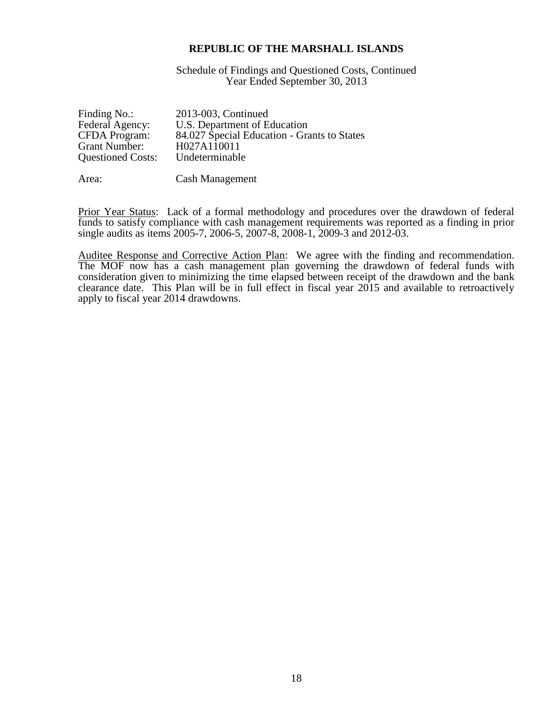Schedule of Findings and Questioned Costs, Continued Year Ended September 30, 2013

| Finding No.:             | 2013-003, Continued                         |
|--------------------------|---------------------------------------------|
| Federal Agency:          | U.S. Department of Education                |
| <b>CFDA</b> Program:     | 84.027 Special Education - Grants to States |
| Grant Number:            | H027A110011                                 |
| <b>Questioned Costs:</b> | Undeterminable                              |
|                          |                                             |

Area: Cash Management

Prior Year Status: Lack of a formal methodology and procedures over the drawdown of federal funds to satisfy compliance with cash management requirements was reported as a finding in prior single audits as items 2005-7, 2006-5, 2007-8, 2008-1, 2009-3 and 2012-03.

Auditee Response and Corrective Action Plan: We agree with the finding and recommendation. The MOF now has a cash management plan governing the drawdown of federal funds with consideration given to minimizing the time elapsed between receipt of the drawdown and the bank clearance date. This Plan will be in full effect in fiscal year 2015 and available to retroactively apply to fiscal year 2014 drawdowns.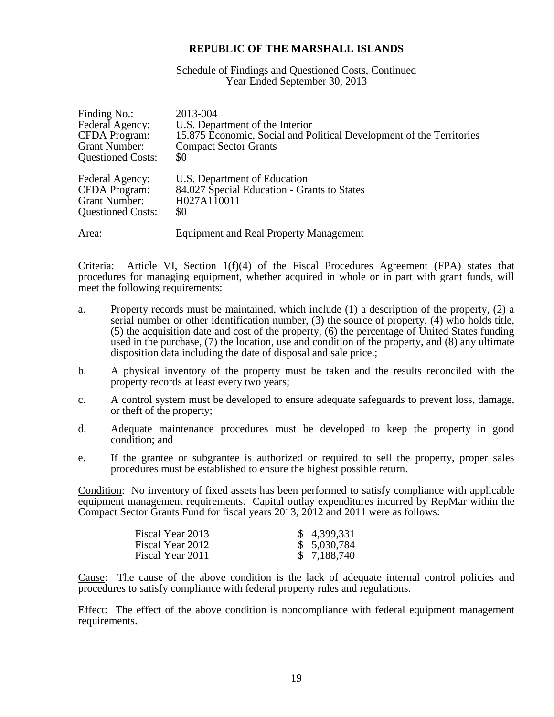#### Schedule of Findings and Questioned Costs, Continued Year Ended September 30, 2013

| Finding No.:             | 2013-004                                                             |
|--------------------------|----------------------------------------------------------------------|
| Federal Agency:          | U.S. Department of the Interior                                      |
| <b>CFDA Program:</b>     | 15.875 Economic, Social and Political Development of the Territories |
| <b>Grant Number:</b>     | <b>Compact Sector Grants</b>                                         |
| <b>Questioned Costs:</b> | \$0                                                                  |
| Federal Agency:          | U.S. Department of Education                                         |
| CFDA Program:            | 84.027 Special Education - Grants to States                          |
| <b>Grant Number:</b>     | H027A110011                                                          |
| <b>Questioned Costs:</b> | \$0                                                                  |
| Area:                    | <b>Equipment and Real Property Management</b>                        |

Criteria: Article VI, Section 1(f)(4) of the Fiscal Procedures Agreement (FPA) states that procedures for managing equipment, whether acquired in whole or in part with grant funds, will meet the following requirements:

- a. Property records must be maintained, which include (1) a description of the property, (2) a serial number or other identification number, (3) the source of property, (4) who holds title, (5) the acquisition date and cost of the property, (6) the percentage of United States funding used in the purchase, (7) the location, use and condition of the property, and (8) any ultimate disposition data including the date of disposal and sale price.;
- b. A physical inventory of the property must be taken and the results reconciled with the property records at least every two years;
- c. A control system must be developed to ensure adequate safeguards to prevent loss, damage, or theft of the property;
- d. Adequate maintenance procedures must be developed to keep the property in good condition; and
- e. If the grantee or subgrantee is authorized or required to sell the property, proper sales procedures must be established to ensure the highest possible return.

Condition: No inventory of fixed assets has been performed to satisfy compliance with applicable equipment management requirements. Capital outlay expenditures incurred by RepMar within the Compact Sector Grants Fund for fiscal years 2013, 2012 and 2011 were as follows:

| Fiscal Year 2013 | \$4,399,331 |
|------------------|-------------|
| Fiscal Year 2012 | \$5,030,784 |
| Fiscal Year 2011 | \$7,188,740 |

Cause: The cause of the above condition is the lack of adequate internal control policies and procedures to satisfy compliance with federal property rules and regulations.

Effect: The effect of the above condition is noncompliance with federal equipment management requirements.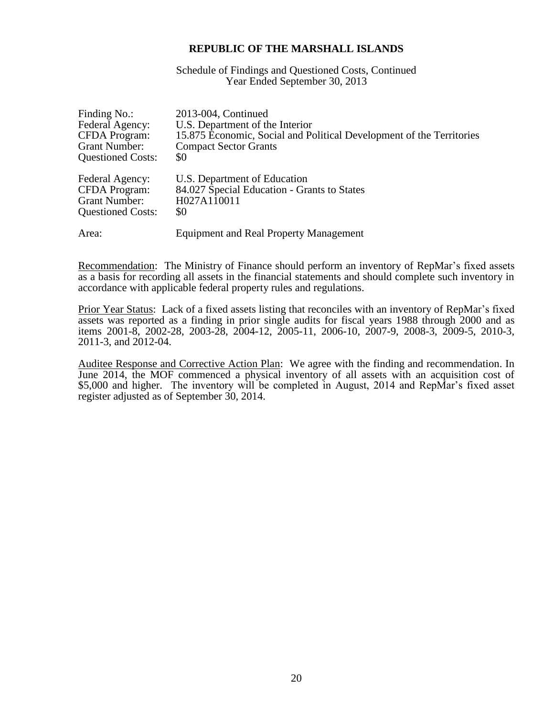Schedule of Findings and Questioned Costs, Continued Year Ended September 30, 2013

| Finding No.:             | 2013-004, Continued                                                  |
|--------------------------|----------------------------------------------------------------------|
| Federal Agency:          | U.S. Department of the Interior                                      |
| <b>CFDA Program:</b>     | 15.875 Economic, Social and Political Development of the Territories |
| <b>Grant Number:</b>     | <b>Compact Sector Grants</b>                                         |
| <b>Questioned Costs:</b> | \$0                                                                  |
| Federal Agency:          | U.S. Department of Education                                         |
| <b>CFDA</b> Program:     | 84.027 Special Education - Grants to States                          |
| <b>Grant Number:</b>     | H027A110011                                                          |
| <b>Questioned Costs:</b> | \$0                                                                  |
| Area:                    | <b>Equipment and Real Property Management</b>                        |

Recommendation: The Ministry of Finance should perform an inventory of RepMar's fixed assets as a basis for recording all assets in the financial statements and should complete such inventory in accordance with applicable federal property rules and regulations.

Prior Year Status: Lack of a fixed assets listing that reconciles with an inventory of RepMar's fixed assets was reported as a finding in prior single audits for fiscal years 1988 through 2000 and as items 2001-8, 2002-28, 2003-28, 2004-12, 2005-11, 2006-10, 2007-9, 2008-3, 2009-5, 2010-3, 2011-3, and 2012-04.

Auditee Response and Corrective Action Plan: We agree with the finding and recommendation. In June 2014, the MOF commenced a physical inventory of all assets with an acquisition cost of \$5,000 and higher. The inventory will be completed in August, 2014 and RepMar's fixed asset register adjusted as of September 30, 2014.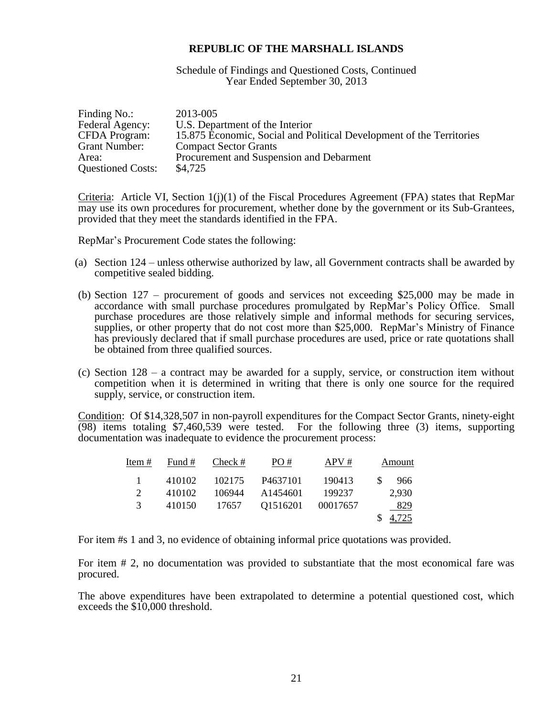Schedule of Findings and Questioned Costs, Continued Year Ended September 30, 2013

| Finding No.:             | 2013-005                                                             |
|--------------------------|----------------------------------------------------------------------|
| Federal Agency:          | U.S. Department of the Interior                                      |
| <b>CFDA</b> Program:     | 15.875 Economic, Social and Political Development of the Territories |
| Grant Number:            | <b>Compact Sector Grants</b>                                         |
| Area:                    | Procurement and Suspension and Debarment                             |
| <b>Questioned Costs:</b> | \$4,725                                                              |

Criteria: Article VI, Section  $1(j)(1)$  of the Fiscal Procedures Agreement (FPA) states that RepMar may use its own procedures for procurement, whether done by the government or its Sub-Grantees, provided that they meet the standards identified in the FPA.

RepMar's Procurement Code states the following:

- (a) Section 124 unless otherwise authorized by law, all Government contracts shall be awarded by competitive sealed bidding.
- (b) Section 127 procurement of goods and services not exceeding \$25,000 may be made in accordance with small purchase procedures promulgated by RepMar's Policy Office. Small purchase procedures are those relatively simple and informal methods for securing services, supplies, or other property that do not cost more than \$25,000. RepMar's Ministry of Finance has previously declared that if small purchase procedures are used, price or rate quotations shall be obtained from three qualified sources.
- (c) Section 128 a contract may be awarded for a supply, service, or construction item without competition when it is determined in writing that there is only one source for the required supply, service, or construction item.

Condition: Of \$14,328,507 in non-payroll expenditures for the Compact Sector Grants, ninety-eight (98) items totaling \$7,460,539 were tested. For the following three (3) items, supporting documentation was inadequate to evidence the procurement process:

| Item $#$ | Fund # | Check # | PO#                  | APV#     | Amount     |
|----------|--------|---------|----------------------|----------|------------|
|          | 410102 | 102175  | P <sub>4637101</sub> | 190413   | -SS<br>966 |
| 2        | 410102 | 106944  | A1454601             | 199237   | 2,930      |
| 3        | 410150 | 17657   | Q1516201             | 00017657 | 829        |
|          |        |         |                      |          | 4,725      |

For item #s 1 and 3, no evidence of obtaining informal price quotations was provided.

For item # 2, no documentation was provided to substantiate that the most economical fare was procured.

The above expenditures have been extrapolated to determine a potential questioned cost, which exceeds the \$10,000 threshold.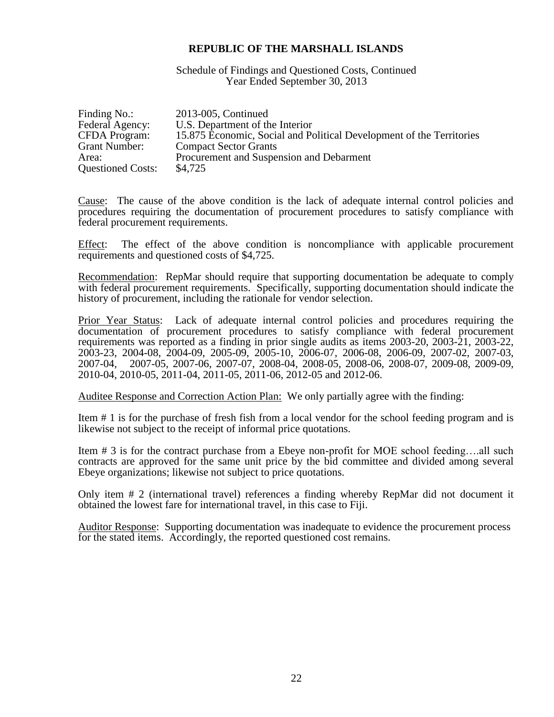Schedule of Findings and Questioned Costs, Continued Year Ended September 30, 2013

| Finding No.:             | 2013-005, Continued                                                  |
|--------------------------|----------------------------------------------------------------------|
| Federal Agency:          | U.S. Department of the Interior                                      |
| <b>CFDA</b> Program:     | 15.875 Economic, Social and Political Development of the Territories |
| Grant Number:            | <b>Compact Sector Grants</b>                                         |
| Area:                    | Procurement and Suspension and Debarment                             |
| <b>Questioned Costs:</b> | \$4,725                                                              |

Cause: The cause of the above condition is the lack of adequate internal control policies and procedures requiring the documentation of procurement procedures to satisfy compliance with federal procurement requirements.

Effect: The effect of the above condition is noncompliance with applicable procurement requirements and questioned costs of \$4,725.

Recommendation: RepMar should require that supporting documentation be adequate to comply with federal procurement requirements. Specifically, supporting documentation should indicate the history of procurement, including the rationale for vendor selection.

Prior Year Status: Lack of adequate internal control policies and procedures requiring the documentation of procurement procedures to satisfy compliance with federal procurement requirements was reported as a finding in prior single audits as items 2003-20, 2003-21, 2003-22, 2003-23, 2004-08, 2004-09, 2005-09, 2005-10, 2006-07, 2006-08, 2006-09, 2007-02, 2007-03, 2007-04, 2007-05, 2007-06, 2007-07, 2008-04, 2008-05, 2008-06, 2008-07, 2009-08, 2009-09, 2010-04, 2010-05, 2011-04, 2011-05, 2011-06, 2012-05 and 2012-06.

Auditee Response and Correction Action Plan: We only partially agree with the finding:

Item # 1 is for the purchase of fresh fish from a local vendor for the school feeding program and is likewise not subject to the receipt of informal price quotations.

Item # 3 is for the contract purchase from a Ebeye non-profit for MOE school feeding….all such contracts are approved for the same unit price by the bid committee and divided among several Ebeye organizations; likewise not subject to price quotations.

Only item # 2 (international travel) references a finding whereby RepMar did not document it obtained the lowest fare for international travel, in this case to Fiji.

Auditor Response: Supporting documentation was inadequate to evidence the procurement process for the stated items. Accordingly, the reported questioned cost remains.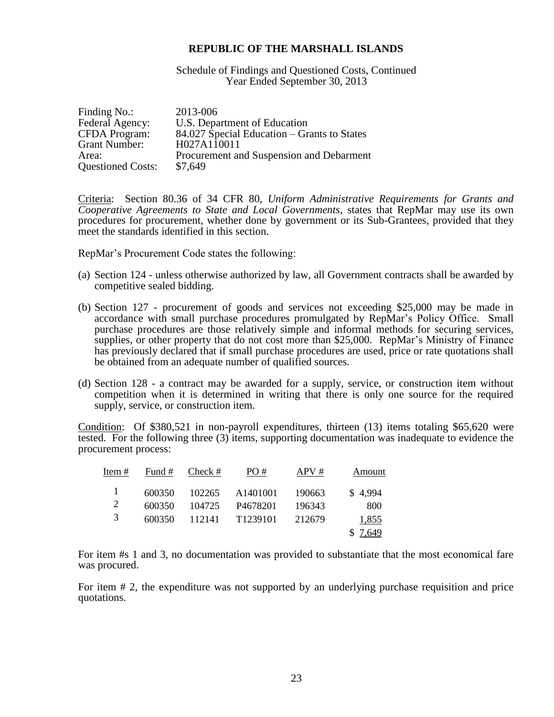Schedule of Findings and Questioned Costs, Continued Year Ended September 30, 2013

| Finding No.:             | 2013-006                                    |
|--------------------------|---------------------------------------------|
| Federal Agency:          | U.S. Department of Education                |
| <b>CFDA Program:</b>     | 84.027 Special Education – Grants to States |
| <b>Grant Number:</b>     | H027A110011                                 |
| Area:                    | Procurement and Suspension and Debarment    |
| <b>Questioned Costs:</b> | \$7,649                                     |

Criteria: Section 80.36 of 34 CFR 80, *Uniform Administrative Requirements for Grants and Cooperative Agreements to State and Local Governments*, states that RepMar may use its own procedures for procurement, whether done by government or its Sub-Grantees, provided that they meet the standards identified in this section.

RepMar's Procurement Code states the following:

- (a) Section 124 unless otherwise authorized by law, all Government contracts shall be awarded by competitive sealed bidding.
- (b) Section 127 procurement of goods and services not exceeding \$25,000 may be made in accordance with small purchase procedures promulgated by RepMar's Policy Office. Small purchase procedures are those relatively simple and informal methods for securing services, supplies, or other property that do not cost more than \$25,000. RepMar's Ministry of Finance has previously declared that if small purchase procedures are used, price or rate quotations shall be obtained from an adequate number of qualified sources.
- (d) Section 128 a contract may be awarded for a supply, service, or construction item without competition when it is determined in writing that there is only one source for the required supply, service, or construction item.

Condition: Of \$380,521 in non-payroll expenditures, thirteen (13) items totaling \$65,620 were tested. For the following three (3) items, supporting documentation was inadequate to evidence the procurement process:

| Item $#$ |        | Fund # $Check #$ | PO#                  | APV#     | Amount  |
|----------|--------|------------------|----------------------|----------|---------|
|          | 600350 | 102265           | A1401001             | - 190663 | \$4,994 |
| 2        | 600350 | 104725           | P <sub>4678201</sub> | 196343   | 800     |
| 3        | 600350 |                  | 112141 T1239101      | 212679   | 1,855   |
|          |        |                  |                      |          | \$7,649 |

For item #s 1 and 3, no documentation was provided to substantiate that the most economical fare was procured.

For item # 2, the expenditure was not supported by an underlying purchase requisition and price quotations.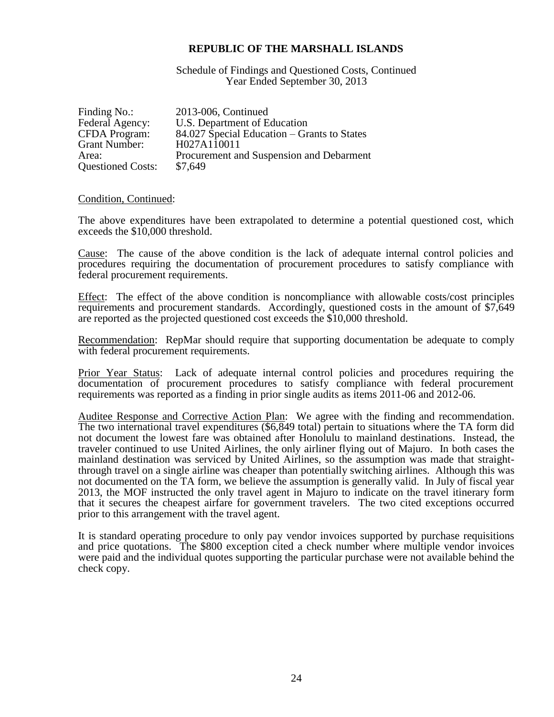Schedule of Findings and Questioned Costs, Continued Year Ended September 30, 2013

| Finding No.:             | 2013-006, Continued                         |
|--------------------------|---------------------------------------------|
| Federal Agency:          | U.S. Department of Education                |
| <b>CFDA</b> Program:     | 84.027 Special Education – Grants to States |
| <b>Grant Number:</b>     | H027A110011                                 |
| Area:                    | Procurement and Suspension and Debarment    |
| <b>Questioned Costs:</b> | \$7,649                                     |

#### Condition, Continued:

The above expenditures have been extrapolated to determine a potential questioned cost, which exceeds the \$10,000 threshold.

Cause: The cause of the above condition is the lack of adequate internal control policies and procedures requiring the documentation of procurement procedures to satisfy compliance with federal procurement requirements.

Effect: The effect of the above condition is noncompliance with allowable costs/cost principles requirements and procurement standards. Accordingly, questioned costs in the amount of \$7,649 are reported as the projected questioned cost exceeds the \$10,000 threshold.

Recommendation: RepMar should require that supporting documentation be adequate to comply with federal procurement requirements.

Prior Year Status: Lack of adequate internal control policies and procedures requiring the documentation of procurement procedures to satisfy compliance with federal procurement requirements was reported as a finding in prior single audits as items 2011-06 and 2012-06.

Auditee Response and Corrective Action Plan: We agree with the finding and recommendation. The two international travel expenditures (\$6,849 total) pertain to situations where the TA form did not document the lowest fare was obtained after Honolulu to mainland destinations. Instead, the traveler continued to use United Airlines, the only airliner flying out of Majuro. In both cases the mainland destination was serviced by United Airlines, so the assumption was made that straightthrough travel on a single airline was cheaper than potentially switching airlines. Although this was not documented on the TA form, we believe the assumption is generally valid. In July of fiscal year 2013, the MOF instructed the only travel agent in Majuro to indicate on the travel itinerary form that it secures the cheapest airfare for government travelers. The two cited exceptions occurred prior to this arrangement with the travel agent.

It is standard operating procedure to only pay vendor invoices supported by purchase requisitions and price quotations. The \$800 exception cited a check number where multiple vendor invoices were paid and the individual quotes supporting the particular purchase were not available behind the check copy.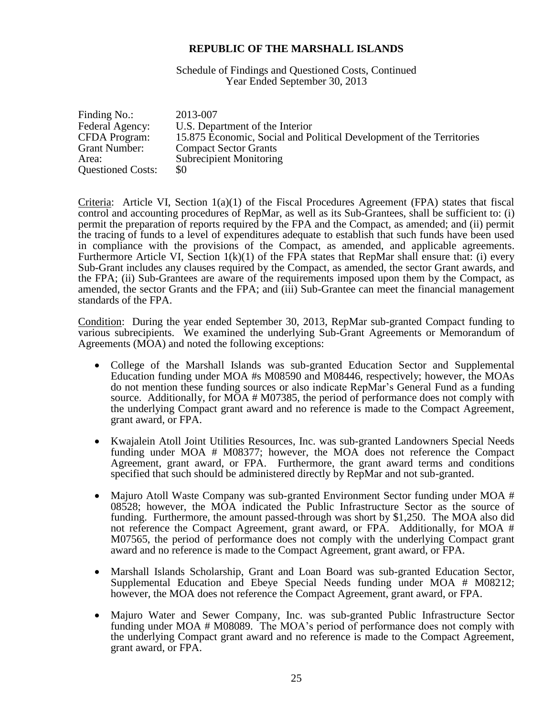Schedule of Findings and Questioned Costs, Continued Year Ended September 30, 2013

| Finding No.:             | 2013-007                                                             |
|--------------------------|----------------------------------------------------------------------|
| Federal Agency:          | U.S. Department of the Interior                                      |
| <b>CFDA</b> Program:     | 15.875 Economic, Social and Political Development of the Territories |
| <b>Grant Number:</b>     | <b>Compact Sector Grants</b>                                         |
| Area:                    | <b>Subrecipient Monitoring</b>                                       |
| <b>Questioned Costs:</b> | \$0                                                                  |

Criteria: Article VI, Section  $1(a)(1)$  of the Fiscal Procedures Agreement (FPA) states that fiscal control and accounting procedures of RepMar, as well as its Sub-Grantees, shall be sufficient to: (i) permit the preparation of reports required by the FPA and the Compact, as amended; and (ii) permit the tracing of funds to a level of expenditures adequate to establish that such funds have been used in compliance with the provisions of the Compact, as amended, and applicable agreements. Furthermore Article VI, Section  $1(k)(1)$  of the FPA states that RepMar shall ensure that: (i) every Sub-Grant includes any clauses required by the Compact, as amended, the sector Grant awards, and the FPA; (ii) Sub-Grantees are aware of the requirements imposed upon them by the Compact, as amended, the sector Grants and the FPA; and (iii) Sub-Grantee can meet the financial management standards of the FPA.

Condition: During the year ended September 30, 2013, RepMar sub-granted Compact funding to various subrecipients. We examined the underlying Sub-Grant Agreements or Memorandum of Agreements (MOA) and noted the following exceptions:

- College of the Marshall Islands was sub-granted Education Sector and Supplemental Education funding under MOA #s M08590 and M08446, respectively; however, the MOAs do not mention these funding sources or also indicate RepMar's General Fund as a funding source. Additionally, for MOA # M07385, the period of performance does not comply with the underlying Compact grant award and no reference is made to the Compact Agreement, grant award, or FPA.
- Kwajalein Atoll Joint Utilities Resources, Inc. was sub-granted Landowners Special Needs funding under MOA # M08377; however, the MOA does not reference the Compact Agreement, grant award, or FPA. Furthermore, the grant award terms and conditions specified that such should be administered directly by RepMar and not sub-granted.
- Majuro Atoll Waste Company was sub-granted Environment Sector funding under MOA # 08528; however, the MOA indicated the Public Infrastructure Sector as the source of funding. Furthermore, the amount passed-through was short by \$1,250. The MOA also did not reference the Compact Agreement, grant award, or FPA. Additionally, for MOA # M07565, the period of performance does not comply with the underlying Compact grant award and no reference is made to the Compact Agreement, grant award, or FPA.
- Marshall Islands Scholarship, Grant and Loan Board was sub-granted Education Sector, Supplemental Education and Ebeye Special Needs funding under MOA # M08212; however, the MOA does not reference the Compact Agreement, grant award, or FPA.
- Majuro Water and Sewer Company, Inc. was sub-granted Public Infrastructure Sector funding under MOA # M08089. The MOA's period of performance does not comply with the underlying Compact grant award and no reference is made to the Compact Agreement, grant award, or FPA.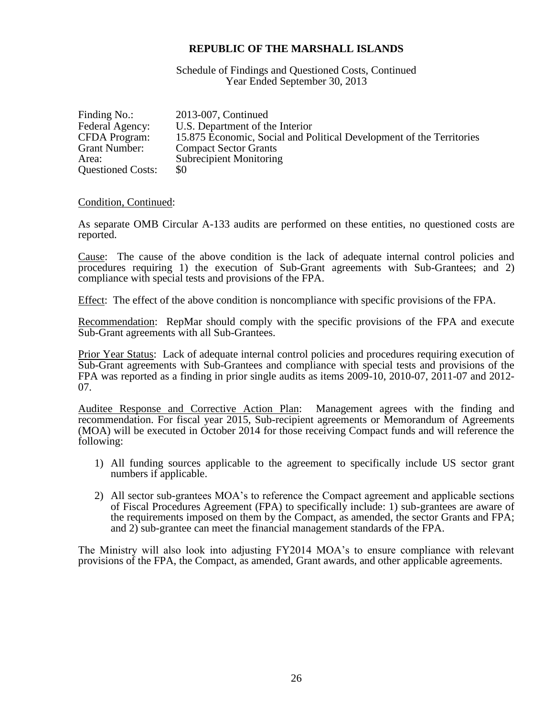Schedule of Findings and Questioned Costs, Continued Year Ended September 30, 2013

| Finding No.:             | 2013-007, Continued                                                  |
|--------------------------|----------------------------------------------------------------------|
| Federal Agency:          | U.S. Department of the Interior                                      |
| CFDA Program:            | 15.875 Economic, Social and Political Development of the Territories |
| Grant Number:            | <b>Compact Sector Grants</b>                                         |
| Area:                    | <b>Subrecipient Monitoring</b>                                       |
| <b>Questioned Costs:</b> | \$0                                                                  |

#### Condition, Continued:

As separate OMB Circular A-133 audits are performed on these entities, no questioned costs are reported.

Cause: The cause of the above condition is the lack of adequate internal control policies and procedures requiring 1) the execution of Sub-Grant agreements with Sub-Grantees; and 2) compliance with special tests and provisions of the FPA.

Effect: The effect of the above condition is noncompliance with specific provisions of the FPA.

Recommendation: RepMar should comply with the specific provisions of the FPA and execute Sub-Grant agreements with all Sub-Grantees.

Prior Year Status: Lack of adequate internal control policies and procedures requiring execution of Sub-Grant agreements with Sub-Grantees and compliance with special tests and provisions of the FPA was reported as a finding in prior single audits as items 2009-10, 2010-07, 2011-07 and 2012- 07.

Auditee Response and Corrective Action Plan: Management agrees with the finding and recommendation. For fiscal year 2015, Sub-recipient agreements or Memorandum of Agreements (MOA) will be executed in October 2014 for those receiving Compact funds and will reference the following:

- 1) All funding sources applicable to the agreement to specifically include US sector grant numbers if applicable.
- 2) All sector sub-grantees MOA's to reference the Compact agreement and applicable sections of Fiscal Procedures Agreement (FPA) to specifically include: 1) sub-grantees are aware of the requirements imposed on them by the Compact, as amended, the sector Grants and FPA; and 2) sub-grantee can meet the financial management standards of the FPA.

The Ministry will also look into adjusting FY2014 MOA's to ensure compliance with relevant provisions of the FPA, the Compact, as amended, Grant awards, and other applicable agreements.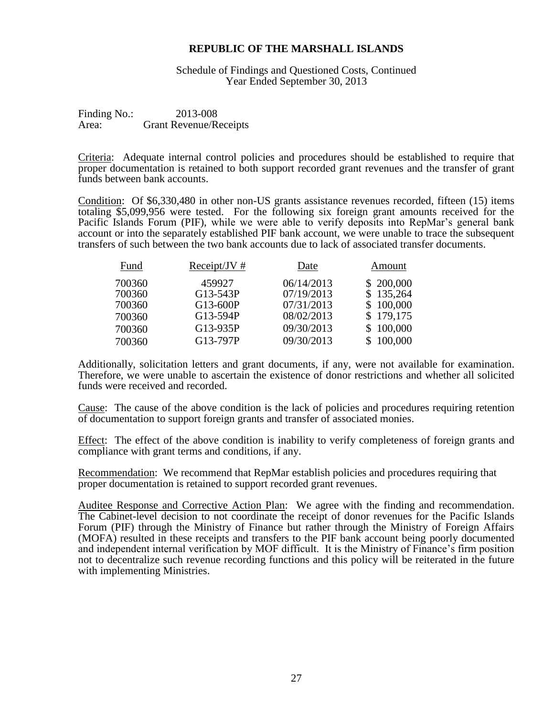Schedule of Findings and Questioned Costs, Continued Year Ended September 30, 2013

Finding No.: 2013-008 Area: Grant Revenue/Receipts

Criteria: Adequate internal control policies and procedures should be established to require that proper documentation is retained to both support recorded grant revenues and the transfer of grant funds between bank accounts.

Condition: Of \$6,330,480 in other non-US grants assistance revenues recorded, fifteen (15) items totaling \$5,099,956 were tested. For the following six foreign grant amounts received for the Pacific Islands Forum (PIF), while we were able to verify deposits into RepMar's general bank account or into the separately established PIF bank account, we were unable to trace the subsequent transfers of such between the two bank accounts due to lack of associated transfer documents.

| Fund   | Receipt/JV $#$ | Date       | Amount    |
|--------|----------------|------------|-----------|
| 700360 | 459927         | 06/14/2013 | \$200,000 |
| 700360 | G13-543P       | 07/19/2013 | \$135,264 |
| 700360 | G13-600P       | 07/31/2013 | \$100,000 |
| 700360 | G13-594P       | 08/02/2013 | \$179,175 |
| 700360 | G13-935P       | 09/30/2013 | \$100,000 |
| 700360 | G13-797P       | 09/30/2013 | \$100,000 |

Additionally, solicitation letters and grant documents, if any, were not available for examination. Therefore, we were unable to ascertain the existence of donor restrictions and whether all solicited funds were received and recorded.

Cause: The cause of the above condition is the lack of policies and procedures requiring retention of documentation to support foreign grants and transfer of associated monies.

Effect: The effect of the above condition is inability to verify completeness of foreign grants and compliance with grant terms and conditions, if any.

Recommendation: We recommend that RepMar establish policies and procedures requiring that proper documentation is retained to support recorded grant revenues.

Auditee Response and Corrective Action Plan: We agree with the finding and recommendation. The Cabinet-level decision to not coordinate the receipt of donor revenues for the Pacific Islands Forum (PIF) through the Ministry of Finance but rather through the Ministry of Foreign Affairs (MOFA) resulted in these receipts and transfers to the PIF bank account being poorly documented and independent internal verification by MOF difficult. It is the Ministry of Finance's firm position not to decentralize such revenue recording functions and this policy will be reiterated in the future with implementing Ministries.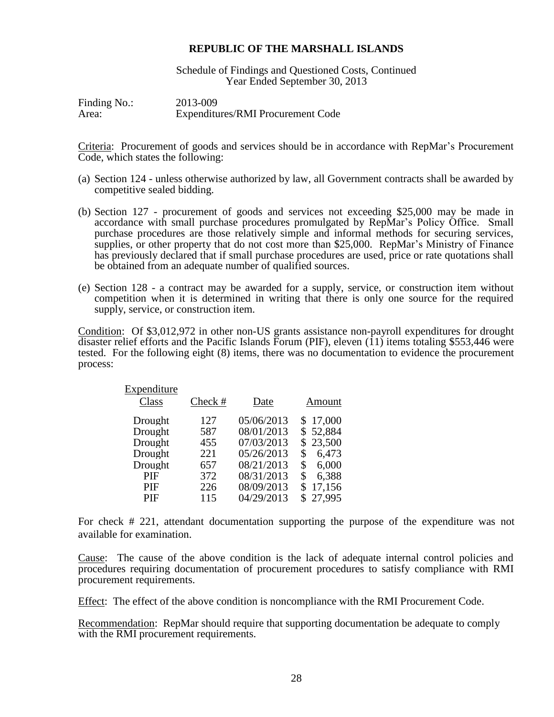Schedule of Findings and Questioned Costs, Continued Year Ended September 30, 2013

Finding No.: 2013-009 Area: Expenditures/RMI Procurement Code

Criteria: Procurement of goods and services should be in accordance with RepMar's Procurement Code, which states the following:

- (a) Section 124 unless otherwise authorized by law, all Government contracts shall be awarded by competitive sealed bidding.
- (b) Section 127 procurement of goods and services not exceeding \$25,000 may be made in accordance with small purchase procedures promulgated by RepMar's Policy Office. Small purchase procedures are those relatively simple and informal methods for securing services, supplies, or other property that do not cost more than \$25,000. RepMar's Ministry of Finance has previously declared that if small purchase procedures are used, price or rate quotations shall be obtained from an adequate number of qualified sources.
- (e) Section 128 a contract may be awarded for a supply, service, or construction item without competition when it is determined in writing that there is only one source for the required supply, service, or construction item.

Condition: Of \$3,012,972 in other non-US grants assistance non-payroll expenditures for drought disaster relief efforts and the Pacific Islands Forum (PIF), eleven (11) items totaling \$553,446 were tested. For the following eight (8) items, there was no documentation to evidence the procurement process:

| Expenditure |         |            |              |
|-------------|---------|------------|--------------|
| Class       | Check # | Date       | Amount       |
| Drought     | 127     | 05/06/2013 | 17,000<br>\$ |
| Drought     | 587     | 08/01/2013 | \$52,884     |
| Drought     | 455     | 07/03/2013 | 23,500<br>S  |
| Drought     | 221     | 05/26/2013 | 6,473<br>\$  |
| Drought     | 657     | 08/21/2013 | 6,000<br>S   |
| PIF         | 372     | 08/31/2013 | 6.388<br>\$  |
| PIF         | 226     | 08/09/2013 | 17,156<br>S  |
| PIF         | 115     | 04/29/2013 | 27,995<br>S  |

For check # 221, attendant documentation supporting the purpose of the expenditure was not available for examination.

Cause: The cause of the above condition is the lack of adequate internal control policies and procedures requiring documentation of procurement procedures to satisfy compliance with RMI procurement requirements.

Effect: The effect of the above condition is noncompliance with the RMI Procurement Code.

Recommendation: RepMar should require that supporting documentation be adequate to comply with the RMI procurement requirements.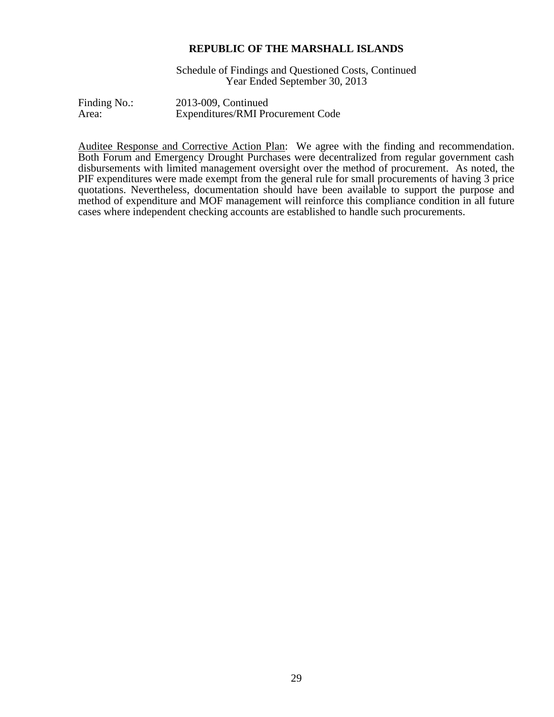Schedule of Findings and Questioned Costs, Continued Year Ended September 30, 2013

Finding No.: 2013-009, Continued Area: Expenditures/RMI Procurement Code

Auditee Response and Corrective Action Plan: We agree with the finding and recommendation. Both Forum and Emergency Drought Purchases were decentralized from regular government cash disbursements with limited management oversight over the method of procurement. As noted, the PIF expenditures were made exempt from the general rule for small procurements of having 3 price quotations. Nevertheless, documentation should have been available to support the purpose and method of expenditure and MOF management will reinforce this compliance condition in all future cases where independent checking accounts are established to handle such procurements.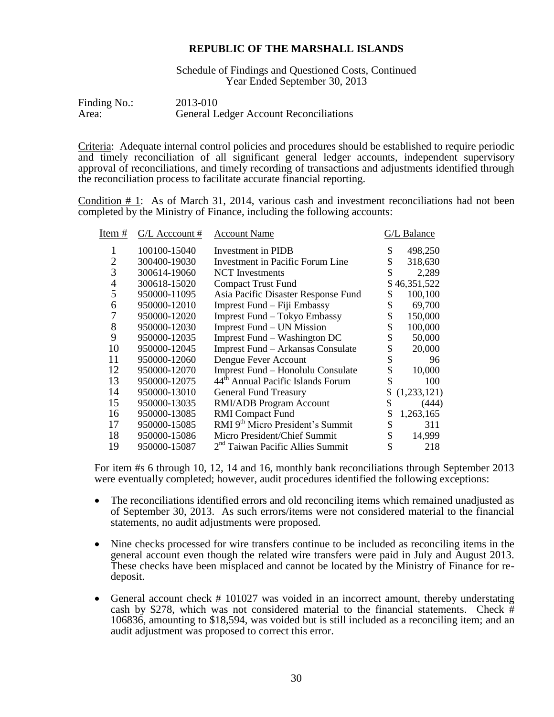Schedule of Findings and Questioned Costs, Continued Year Ended September 30, 2013

| Finding No.: | 2013-010                                      |
|--------------|-----------------------------------------------|
| Area:        | <b>General Ledger Account Reconciliations</b> |

Criteria: Adequate internal control policies and procedures should be established to require periodic and timely reconciliation of all significant general ledger accounts, independent supervisory approval of reconciliations, and timely recording of transactions and adjustments identified through the reconciliation process to facilitate accurate financial reporting.

Condition  $# 1$ : As of March 31, 2014, various cash and investment reconciliations had not been completed by the Ministry of Finance, including the following accounts:

| Item #         | G/L Acccount # | <b>Account Name</b>                          | G/L Balance   |
|----------------|----------------|----------------------------------------------|---------------|
|                | 100100-15040   | Investment in PIDB                           | \$<br>498,250 |
| $\overline{2}$ | 300400-19030   | Investment in Pacific Forum Line             | 318,630       |
| 3              | 300614-19060   | <b>NCT</b> Investments                       | 2,289         |
| 4              | 300618-15020   | <b>Compact Trust Fund</b>                    | \$46,351,522  |
| 5              | 950000-11095   | Asia Pacific Disaster Response Fund          | 100,100       |
| 6              | 950000-12010   | Imprest Fund - Fiji Embassy                  | 69,700        |
|                | 950000-12020   | Imprest Fund - Tokyo Embassy                 | 150,000       |
| 8              | 950000-12030   | Imprest Fund – UN Mission                    | 100,000       |
| 9              | 950000-12035   | Imprest Fund – Washington DC                 | 50,000        |
| 10             | 950000-12045   | Imprest Fund - Arkansas Consulate            | \$<br>20,000  |
| 11             | 950000-12060   | Dengue Fever Account                         | 96            |
| 12             | 950000-12070   | Imprest Fund – Honolulu Consulate            | 10,000        |
| 13             | 950000-12075   | 44th Annual Pacific Islands Forum            | 100           |
| 14             | 950000-13010   | <b>General Fund Treasury</b>                 | (1,233,121)   |
| 15             | 950000-13035   | <b>RMI/ADB</b> Program Account               | (444)         |
| 16             | 950000-13085   | <b>RMI</b> Compact Fund                      | 1,263,165     |
| 17             | 950000-15085   | RMI 9 <sup>th</sup> Micro President's Summit | 311           |
| 18             | 950000-15086   | Micro President/Chief Summit                 | 14,999        |
| 19             | 950000-15087   | 2 <sup>nd</sup> Taiwan Pacific Allies Summit | 218           |
|                |                |                                              |               |

For item #s 6 through 10, 12, 14 and 16, monthly bank reconciliations through September 2013 were eventually completed; however, audit procedures identified the following exceptions:

- The reconciliations identified errors and old reconciling items which remained unadjusted as of September 30, 2013. As such errors/items were not considered material to the financial statements, no audit adjustments were proposed.
- Nine checks processed for wire transfers continue to be included as reconciling items in the general account even though the related wire transfers were paid in July and August 2013. These checks have been misplaced and cannot be located by the Ministry of Finance for redeposit.
- General account check # 101027 was voided in an incorrect amount, thereby understating cash by \$278, which was not considered material to the financial statements. Check # 106836, amounting to \$18,594, was voided but is still included as a reconciling item; and an audit adjustment was proposed to correct this error.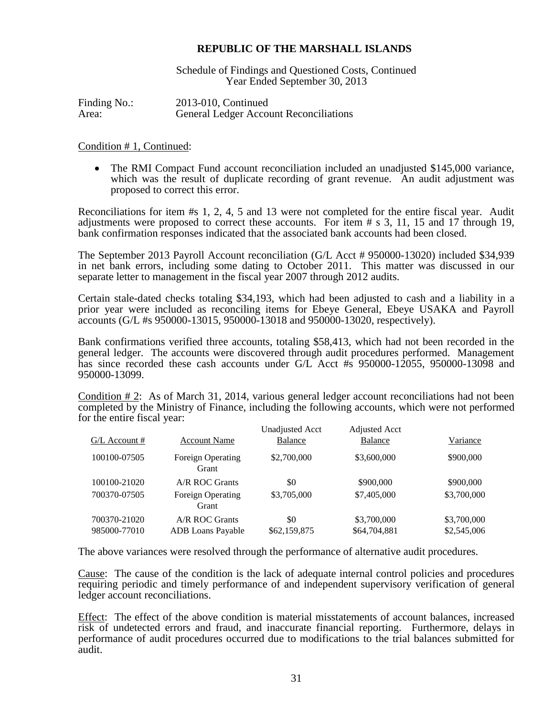Schedule of Findings and Questioned Costs, Continued Year Ended September 30, 2013

Finding No.: 2013-010, Continued Area: General Ledger Account Reconciliations

#### Condition # 1, Continued:

 The RMI Compact Fund account reconciliation included an unadjusted \$145,000 variance, which was the result of duplicate recording of grant revenue. An audit adjustment was proposed to correct this error.

Reconciliations for item #s 1, 2, 4, 5 and 13 were not completed for the entire fiscal year. Audit adjustments were proposed to correct these accounts. For item # s 3, 11, 15 and 17 through 19, bank confirmation responses indicated that the associated bank accounts had been closed.

The September 2013 Payroll Account reconciliation (G/L Acct # 950000-13020) included \$34,939 in net bank errors, including some dating to October 2011. This matter was discussed in our separate letter to management in the fiscal year 2007 through 2012 audits.

Certain stale-dated checks totaling \$34,193, which had been adjusted to cash and a liability in a prior year were included as reconciling items for Ebeye General, Ebeye USAKA and Payroll accounts (G/L #s 950000-13015, 950000-13018 and 950000-13020, respectively).

Bank confirmations verified three accounts, totaling \$58,413, which had not been recorded in the general ledger. The accounts were discovered through audit procedures performed. Management has since recorded these cash accounts under G/L Acct #s 950000-12055, 950000-13098 and 950000-13099.

Condition # 2: As of March 31, 2014, various general ledger account reconciliations had not been completed by the Ministry of Finance, including the following accounts, which were not performed for the entire fiscal year:

|                 |                                   | Unadjusted Acct | <b>Adjusted Acct</b> |             |
|-----------------|-----------------------------------|-----------------|----------------------|-------------|
| $G/L$ Account # | <b>Account Name</b>               | <b>Balance</b>  | Balance              | Variance    |
| 100100-07505    | <b>Foreign Operating</b><br>Grant | \$2,700,000     | \$3,600,000          | \$900,000   |
| 100100-21020    | A/R ROC Grants                    | \$0             | \$900,000            | \$900,000   |
| 700370-07505    | <b>Foreign Operating</b><br>Grant | \$3,705,000     | \$7,405,000          | \$3,700,000 |
| 700370-21020    | A/R ROC Grants                    | \$0             | \$3,700,000          | \$3,700,000 |
| 985000-77010    | <b>ADB</b> Loans Payable          | \$62,159,875    | \$64,704,881         | \$2,545,006 |

The above variances were resolved through the performance of alternative audit procedures.

Cause: The cause of the condition is the lack of adequate internal control policies and procedures requiring periodic and timely performance of and independent supervisory verification of general ledger account reconciliations.

Effect: The effect of the above condition is material misstatements of account balances, increased risk of undetected errors and fraud, and inaccurate financial reporting. Furthermore, delays in performance of audit procedures occurred due to modifications to the trial balances submitted for audit.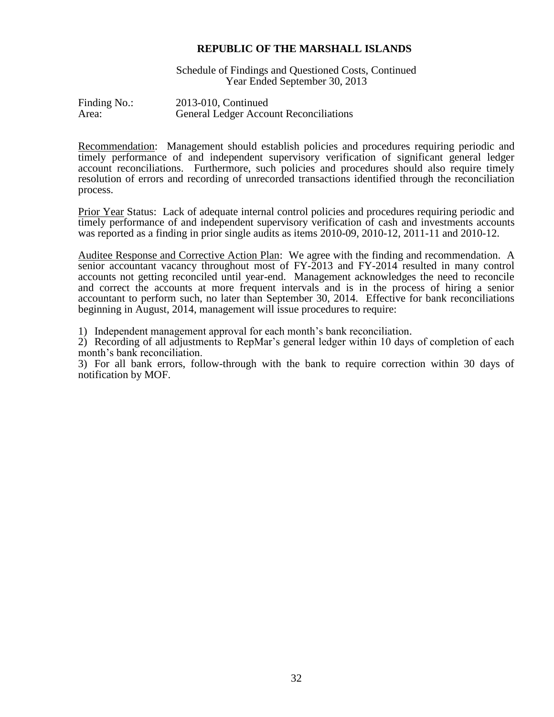Schedule of Findings and Questioned Costs, Continued Year Ended September 30, 2013

Finding No.: 2013-010, Continued Area: General Ledger Account Reconciliations

Recommendation: Management should establish policies and procedures requiring periodic and timely performance of and independent supervisory verification of significant general ledger account reconciliations. Furthermore, such policies and procedures should also require timely resolution of errors and recording of unrecorded transactions identified through the reconciliation process.

Prior Year Status: Lack of adequate internal control policies and procedures requiring periodic and timely performance of and independent supervisory verification of cash and investments accounts was reported as a finding in prior single audits as items 2010-09, 2010-12, 2011-11 and 2010-12.

Auditee Response and Corrective Action Plan: We agree with the finding and recommendation. A senior accountant vacancy throughout most of FY-2013 and FY-2014 resulted in many control accounts not getting reconciled until year-end. Management acknowledges the need to reconcile and correct the accounts at more frequent intervals and is in the process of hiring a senior accountant to perform such, no later than September 30, 2014. Effective for bank reconciliations beginning in August, 2014, management will issue procedures to require:

1) Independent management approval for each month's bank reconciliation.

2) Recording of all adjustments to RepMar's general ledger within 10 days of completion of each month's bank reconciliation.

3) For all bank errors, follow-through with the bank to require correction within 30 days of notification by MOF.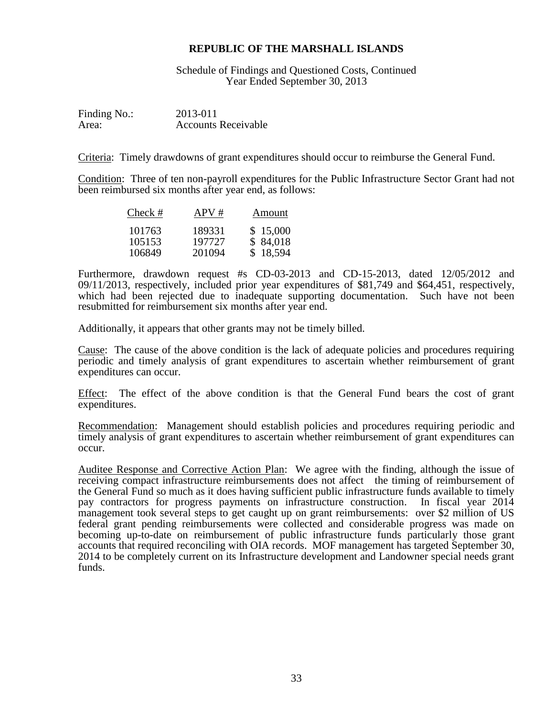Schedule of Findings and Questioned Costs, Continued Year Ended September 30, 2013

Finding No.: 2013-011 Area: Accounts Receivable

Criteria: Timely drawdowns of grant expenditures should occur to reimburse the General Fund.

Condition: Three of ten non-payroll expenditures for the Public Infrastructure Sector Grant had not been reimbursed six months after year end, as follows:

| Check #          | APV#             | Amount               |
|------------------|------------------|----------------------|
| 101763<br>105153 | 189331<br>197727 | \$15,000<br>\$84,018 |
| 106849           | 201094           | \$18,594             |

Furthermore, drawdown request #s CD-03-2013 and CD-15-2013, dated 12/05/2012 and 09/11/2013, respectively, included prior year expenditures of \$81,749 and \$64,451, respectively, which had been rejected due to inadequate supporting documentation. Such have not been resubmitted for reimbursement six months after year end.

Additionally, it appears that other grants may not be timely billed.

Cause: The cause of the above condition is the lack of adequate policies and procedures requiring periodic and timely analysis of grant expenditures to ascertain whether reimbursement of grant expenditures can occur.

Effect: The effect of the above condition is that the General Fund bears the cost of grant expenditures.

Recommendation: Management should establish policies and procedures requiring periodic and timely analysis of grant expenditures to ascertain whether reimbursement of grant expenditures can occur.

Auditee Response and Corrective Action Plan: We agree with the finding, although the issue of receiving compact infrastructure reimbursements does not affect the timing of reimbursement of the General Fund so much as it does having sufficient public infrastructure funds available to timely pay contractors for progress payments on infrastructure construction. In fiscal year 2014 management took several steps to get caught up on grant reimbursements: over \$2 million of US federal grant pending reimbursements were collected and considerable progress was made on becoming up-to-date on reimbursement of public infrastructure funds particularly those grant accounts that required reconciling with OIA records. MOF management has targeted September 30, 2014 to be completely current on its Infrastructure development and Landowner special needs grant funds.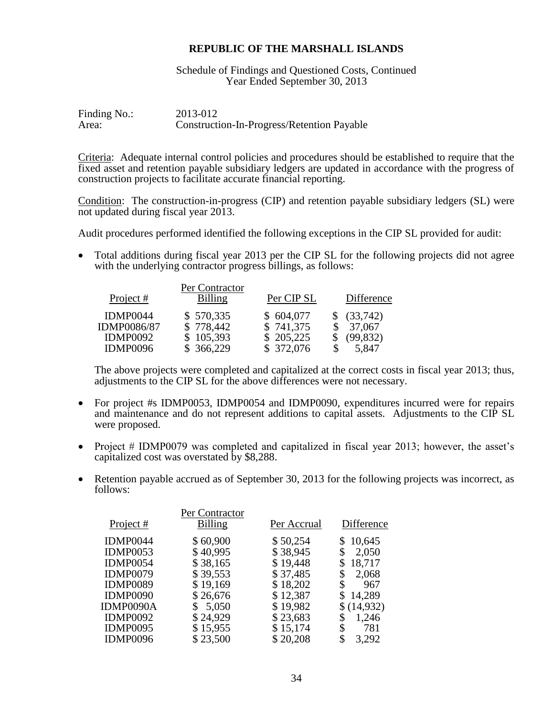Schedule of Findings and Questioned Costs, Continued Year Ended September 30, 2013

| Finding No.: | 2013-012                                          |
|--------------|---------------------------------------------------|
| Area:        | <b>Construction-In-Progress/Retention Payable</b> |

Criteria: Adequate internal control policies and procedures should be established to require that the fixed asset and retention payable subsidiary ledgers are updated in accordance with the progress of construction projects to facilitate accurate financial reporting.

Condition: The construction-in-progress (CIP) and retention payable subsidiary ledgers (SL) were not updated during fiscal year 2013.

Audit procedures performed identified the following exceptions in the CIP SL provided for audit:

• Total additions during fiscal year 2013 per the CIP SL for the following projects did not agree with the underlying contractor progress billings, as follows:

| Project #                      | Per Contractor<br><b>Billing</b> | Per CIP SL             | Difference            |
|--------------------------------|----------------------------------|------------------------|-----------------------|
| IDMP0044<br><b>IDMP0086/87</b> | \$570,335<br>\$778,442           | \$604,077<br>\$741,375 | \$ (33,742)<br>37,067 |
| IDMP0092                       | \$105,393                        | \$205,225              | (99, 832)             |
| <b>IDMP0096</b>                | \$ 366,229                       | \$ 372,076             | 5,847                 |

The above projects were completed and capitalized at the correct costs in fiscal year 2013; thus, adjustments to the CIP SL for the above differences were not necessary.

- For project #s IDMP0053, IDMP0054 and IDMP0090, expenditures incurred were for repairs and maintenance and do not represent additions to capital assets. Adjustments to the CIP SL were proposed.
- Project # IDMP0079 was completed and capitalized in fiscal year 2013; however, the asset's capitalized cost was overstated by \$8,288.
- Retention payable accrued as of September 30, 2013 for the following projects was incorrect, as follows:

|                 | Per Contractor |             |              |
|-----------------|----------------|-------------|--------------|
| Project #       | <b>Billing</b> | Per Accrual | Difference   |
| IDMP0044        | \$60,900       | \$50,254    | 10,645<br>\$ |
| <b>IDMP0053</b> | \$40,995       | \$38,945    | 2,050<br>\$  |
| <b>IDMP0054</b> | \$38,165       | \$19,448    | 18,717<br>S  |
| IDMP0079        | \$39,553       | \$37,485    | 2,068<br>\$  |
| IDMP0089        | \$19,169       | \$18,202    | \$<br>967    |
| IDMP0090        | \$26,676       | \$12,387    | 14,289       |
| IDMP0090A       | 5,050<br>\$    | \$19,982    | \$(14,932)   |
| <b>IDMP0092</b> | \$24,929       | \$23,683    | \$<br>1,246  |
| IDMP0095        | \$15,955       | \$15,174    | \$<br>781    |
| IDMP0096        | \$23,500       | \$20,208    | \$<br>3,292  |
|                 |                |             |              |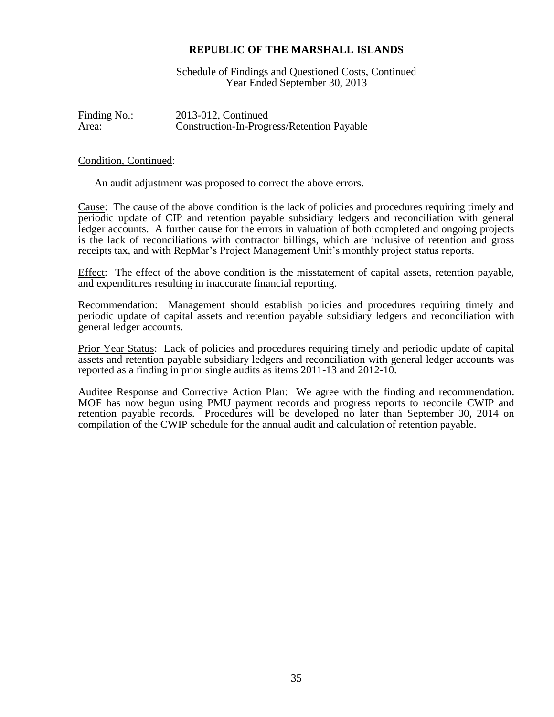Schedule of Findings and Questioned Costs, Continued Year Ended September 30, 2013

Finding No.: 2013-012, Continued Area: Construction-In-Progress/Retention Payable

#### Condition, Continued:

An audit adjustment was proposed to correct the above errors.

Cause: The cause of the above condition is the lack of policies and procedures requiring timely and periodic update of CIP and retention payable subsidiary ledgers and reconciliation with general ledger accounts. A further cause for the errors in valuation of both completed and ongoing projects is the lack of reconciliations with contractor billings, which are inclusive of retention and gross receipts tax, and with RepMar's Project Management Unit's monthly project status reports.

Effect: The effect of the above condition is the misstatement of capital assets, retention payable, and expenditures resulting in inaccurate financial reporting.

Recommendation: Management should establish policies and procedures requiring timely and periodic update of capital assets and retention payable subsidiary ledgers and reconciliation with general ledger accounts.

Prior Year Status: Lack of policies and procedures requiring timely and periodic update of capital assets and retention payable subsidiary ledgers and reconciliation with general ledger accounts was reported as a finding in prior single audits as items 2011-13 and 2012-10.

Auditee Response and Corrective Action Plan: We agree with the finding and recommendation. MOF has now begun using PMU payment records and progress reports to reconcile CWIP and retention payable records. Procedures will be developed no later than September 30, 2014 on compilation of the CWIP schedule for the annual audit and calculation of retention payable.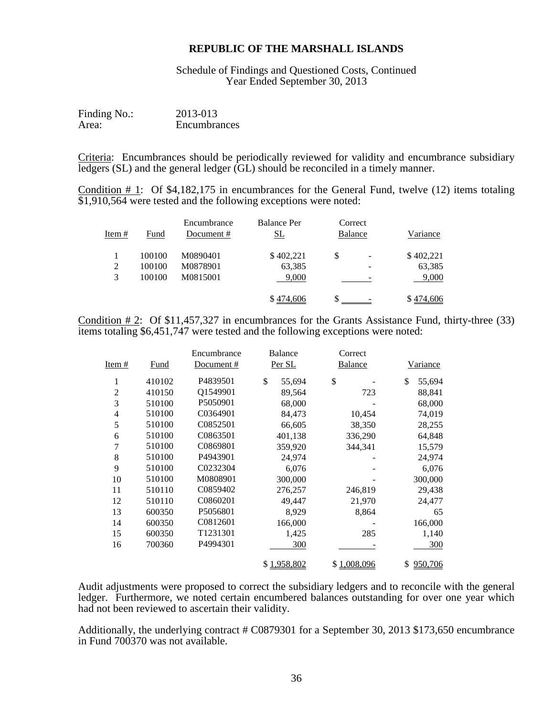Schedule of Findings and Questioned Costs, Continued Year Ended September 30, 2013

| Finding No.: | 2013-013     |
|--------------|--------------|
| Area:        | Encumbrances |

Criteria: Encumbrances should be periodically reviewed for validity and encumbrance subsidiary ledgers (SL) and the general ledger (GL) should be reconciled in a timely manner.

Condition # 1: Of \$4,182,175 in encumbrances for the General Fund, twelve (12) items totaling \$1,910,564 were tested and the following exceptions were noted:

|               |        | Encumbrance | <b>Balance Per</b> | Correct |   |           |
|---------------|--------|-------------|--------------------|---------|---|-----------|
| <u>Item #</u> | Fund   | Document#   | <u>SL</u>          | Balance |   | Variance  |
|               | 100100 | M0890401    | \$402,221          | \$      | ۰ | \$402,221 |
| 2             | 100100 | M0878901    | 63,385             |         | - | 63,385    |
| 3             | 100100 | M0815001    | 9,000              |         |   | 9,000     |
|               |        |             | \$474,606          |         |   | \$474,606 |

Condition  $\# 2$ : Of \$11,457,327 in encumbrances for the Grants Assistance Fund, thirty-three (33) items totaling \$6,451,747 were tested and the following exceptions were noted:

|                |             | Encumbrance | Balance      | Correct        |                 |
|----------------|-------------|-------------|--------------|----------------|-----------------|
| Item #         | <b>Fund</b> | Document#   | Per SL       | <b>Balance</b> | <u>Variance</u> |
| 1              | 410102      | P4839501    | \$<br>55,694 | \$             | \$<br>55,694    |
| $\overline{2}$ | 410150      | Q1549901    | 89,564       | 723            | 88,841          |
| 3              | 510100      | P5050901    | 68,000       |                | 68,000          |
| $\overline{4}$ | 510100      | C0364901    | 84,473       | 10,454         | 74,019          |
| 5              | 510100      | C0852501    | 66,605       | 38,350         | 28,255          |
| 6              | 510100      | C0863501    | 401,138      | 336,290        | 64,848          |
| $\overline{7}$ | 510100      | C0869801    | 359,920      | 344,341        | 15,579          |
| 8              | 510100      | P4943901    | 24,974       |                | 24,974          |
| 9              | 510100      | C0232304    | 6,076        |                | 6,076           |
| 10             | 510100      | M0808901    | 300,000      |                | 300,000         |
| 11             | 510110      | C0859402    | 276,257      | 246,819        | 29,438          |
| 12             | 510110      | C0860201    | 49,447       | 21,970         | 24,477          |
| 13             | 600350      | P5056801    | 8,929        | 8,864          | 65              |
| 14             | 600350      | C0812601    | 166,000      |                | 166,000         |
| 15             | 600350      | T1231301    | 1,425        | 285            | 1,140           |
| 16             | 700360      | P4994301    | 300          |                | 300             |
|                |             |             | \$1,958,802  | \$1,008,096    | 950,706<br>\$   |

Audit adjustments were proposed to correct the subsidiary ledgers and to reconcile with the general ledger. Furthermore, we noted certain encumbered balances outstanding for over one year which had not been reviewed to ascertain their validity.

Additionally, the underlying contract # C0879301 for a September 30, 2013 \$173,650 encumbrance in Fund 700370 was not available.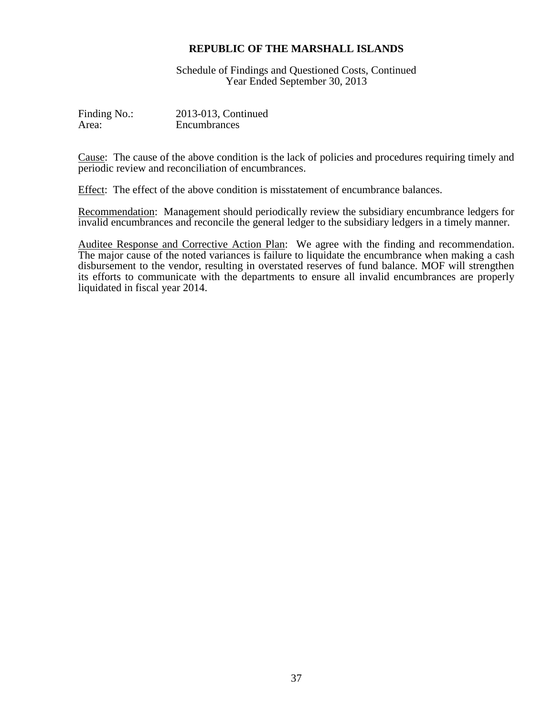Schedule of Findings and Questioned Costs, Continued Year Ended September 30, 2013

| Finding No.: | 2013-013, Continued |
|--------------|---------------------|
| Area:        | Encumbrances        |

Cause: The cause of the above condition is the lack of policies and procedures requiring timely and periodic review and reconciliation of encumbrances.

Effect: The effect of the above condition is misstatement of encumbrance balances.

Recommendation: Management should periodically review the subsidiary encumbrance ledgers for invalid encumbrances and reconcile the general ledger to the subsidiary ledgers in a timely manner.

Auditee Response and Corrective Action Plan: We agree with the finding and recommendation. The major cause of the noted variances is failure to liquidate the encumbrance when making a cash disbursement to the vendor, resulting in overstated reserves of fund balance. MOF will strengthen its efforts to communicate with the departments to ensure all invalid encumbrances are properly liquidated in fiscal year 2014.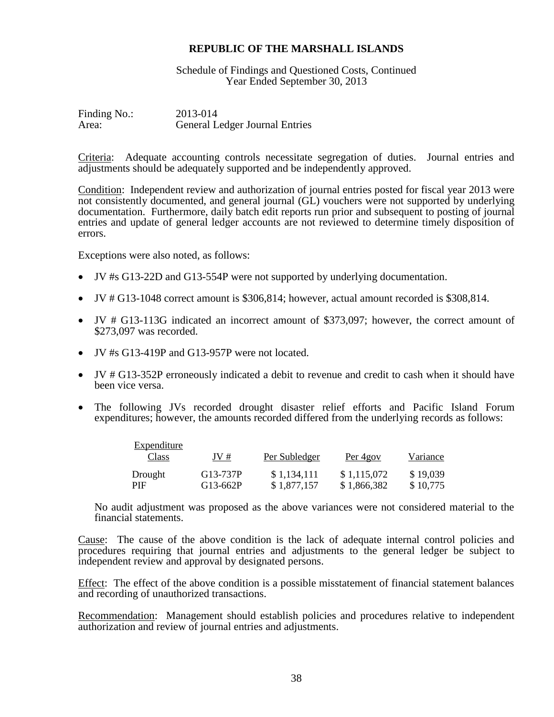Schedule of Findings and Questioned Costs, Continued Year Ended September 30, 2013

Finding No.: 2013-014 Area: General Ledger Journal Entries

Criteria: Adequate accounting controls necessitate segregation of duties. Journal entries and adjustments should be adequately supported and be independently approved.

Condition: Independent review and authorization of journal entries posted for fiscal year 2013 were not consistently documented, and general journal (GL) vouchers were not supported by underlying documentation. Furthermore, daily batch edit reports run prior and subsequent to posting of journal entries and update of general ledger accounts are not reviewed to determine timely disposition of errors.

Exceptions were also noted, as follows:

- JV #s G13-22D and G13-554P were not supported by underlying documentation.
- JV # G13-1048 correct amount is \$306,814; however, actual amount recorded is \$308,814.
- JV # G13-113G indicated an incorrect amount of \$373,097; however, the correct amount of \$273,097 was recorded.
- JV #s G13-419P and G13-957P were not located.
- JV # G13-352P erroneously indicated a debit to revenue and credit to cash when it should have been vice versa.
- The following JVs recorded drought disaster relief efforts and Pacific Island Forum expenditures; however, the amounts recorded differed from the underlying records as follows:

| Expenditure    |                      |                            |                            |                      |
|----------------|----------------------|----------------------------|----------------------------|----------------------|
| Class          | JV#                  | Per Subledger              | Per 4gov                   | Variance             |
| Drought<br>PIF | G13-737P<br>G13-662P | \$1,134,111<br>\$1,877,157 | \$1,115,072<br>\$1,866,382 | \$19,039<br>\$10,775 |

No audit adjustment was proposed as the above variances were not considered material to the financial statements.

Cause: The cause of the above condition is the lack of adequate internal control policies and procedures requiring that journal entries and adjustments to the general ledger be subject to independent review and approval by designated persons.

Effect: The effect of the above condition is a possible misstatement of financial statement balances and recording of unauthorized transactions.

Recommendation: Management should establish policies and procedures relative to independent authorization and review of journal entries and adjustments.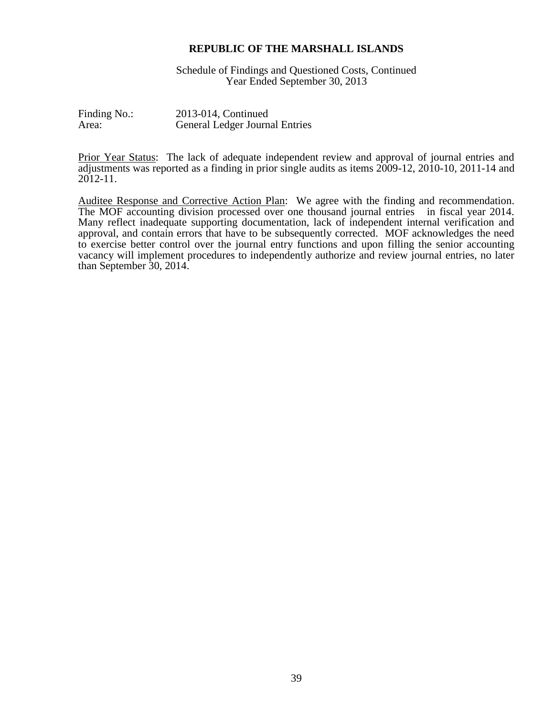Schedule of Findings and Questioned Costs, Continued Year Ended September 30, 2013

Finding No.: 2013-014, Continued Area: General Ledger Journal Entries

Prior Year Status: The lack of adequate independent review and approval of journal entries and adjustments was reported as a finding in prior single audits as items 2009-12, 2010-10, 2011-14 and 2012-11.

Auditee Response and Corrective Action Plan: We agree with the finding and recommendation. The MOF accounting division processed over one thousand journal entries in fiscal year 2014. Many reflect inadequate supporting documentation, lack of independent internal verification and approval, and contain errors that have to be subsequently corrected. MOF acknowledges the need to exercise better control over the journal entry functions and upon filling the senior accounting vacancy will implement procedures to independently authorize and review journal entries, no later than September 30, 2014.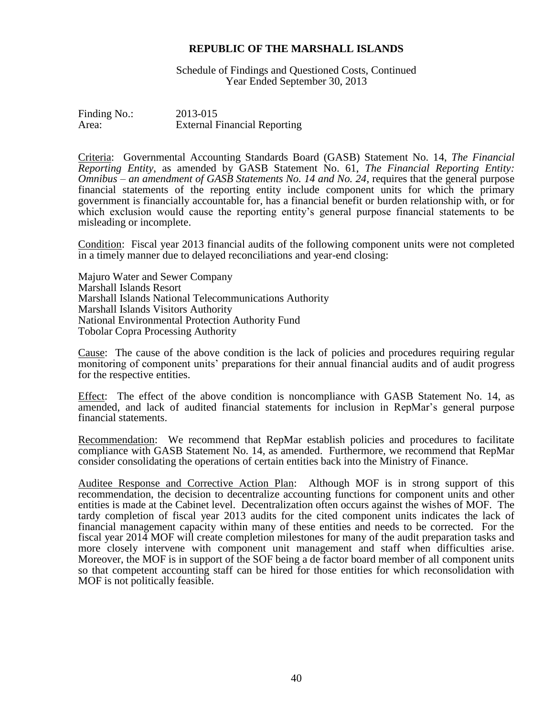Schedule of Findings and Questioned Costs, Continued Year Ended September 30, 2013

Finding No.: 2013-015 Area: External Financial Reporting

Criteria: Governmental Accounting Standards Board (GASB) Statement No. 14, *The Financial Reporting Entity*, as amended by GASB Statement No. 61, *The Financial Reporting Entity: Omnibus – an amendment of GASB Statements No. 14 and No. 24*, requires that the general purpose financial statements of the reporting entity include component units for which the primary government is financially accountable for, has a financial benefit or burden relationship with, or for which exclusion would cause the reporting entity's general purpose financial statements to be misleading or incomplete.

Condition: Fiscal year 2013 financial audits of the following component units were not completed in a timely manner due to delayed reconciliations and year-end closing:

Majuro Water and Sewer Company Marshall Islands Resort Marshall Islands National Telecommunications Authority Marshall Islands Visitors Authority National Environmental Protection Authority Fund Tobolar Copra Processing Authority

Cause: The cause of the above condition is the lack of policies and procedures requiring regular monitoring of component units' preparations for their annual financial audits and of audit progress for the respective entities.

Effect: The effect of the above condition is noncompliance with GASB Statement No. 14, as amended, and lack of audited financial statements for inclusion in RepMar's general purpose financial statements.

Recommendation: We recommend that RepMar establish policies and procedures to facilitate compliance with GASB Statement No. 14, as amended. Furthermore, we recommend that RepMar consider consolidating the operations of certain entities back into the Ministry of Finance.

Auditee Response and Corrective Action Plan: Although MOF is in strong support of this recommendation, the decision to decentralize accounting functions for component units and other entities is made at the Cabinet level. Decentralization often occurs against the wishes of MOF. The tardy completion of fiscal year 2013 audits for the cited component units indicates the lack of financial management capacity within many of these entities and needs to be corrected. For the fiscal year 2014 MOF will create completion milestones for many of the audit preparation tasks and more closely intervene with component unit management and staff when difficulties arise. Moreover, the MOF is in support of the SOF being a de factor board member of all component units so that competent accounting staff can be hired for those entities for which reconsolidation with MOF is not politically feasible.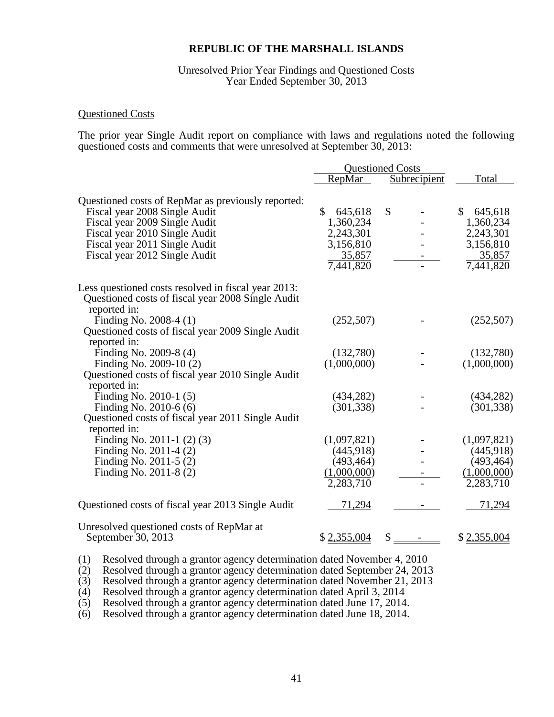#### Unresolved Prior Year Findings and Questioned Costs Year Ended September 30, 2013

#### Questioned Costs

The prior year Single Audit report on compliance with laws and regulations noted the following questioned costs and comments that were unresolved at September 30, 2013:

|                                                                   | <b>Questioned Costs</b>  |                           |             |
|-------------------------------------------------------------------|--------------------------|---------------------------|-------------|
|                                                                   | RepMar                   | <b>Subrecipient</b>       | Total       |
| Questioned costs of RepMar as previously reported:                |                          |                           |             |
| Fiscal year 2008 Single Audit                                     | $\mathcal{S}$<br>645,618 | $\boldsymbol{\mathsf{S}}$ | \$645,618   |
| Fiscal year 2009 Single Audit                                     | 1,360,234                |                           | 1,360,234   |
| Fiscal year 2010 Single Audit                                     | 2,243,301                |                           | 2,243,301   |
| Fiscal year 2011 Single Audit                                     | 3,156,810                |                           | 3,156,810   |
| Fiscal year 2012 Single Audit                                     | 35,857                   |                           | 35,857      |
|                                                                   | 7,441,820                |                           | 7,441,820   |
| Less questioned costs resolved in fiscal year 2013:               |                          |                           |             |
| Questioned costs of fiscal year 2008 Single Audit<br>reported in: |                          |                           |             |
| Finding No. 2008-4 (1)                                            | (252,507)                |                           | (252, 507)  |
| Questioned costs of fiscal year 2009 Single Audit                 |                          |                           |             |
| reported in:                                                      |                          |                           |             |
| Finding No. 2009-8 (4)                                            | (132,780)                |                           | (132,780)   |
| Finding No. 2009-10 (2)                                           | (1,000,000)              |                           | (1,000,000) |
| Questioned costs of fiscal year 2010 Single Audit                 |                          |                           |             |
| reported in:                                                      |                          |                           |             |
| Finding No. 2010-1 (5)                                            | (434, 282)               |                           | (434, 282)  |
| Finding No. 2010-6 (6)                                            | (301, 338)               |                           | (301, 338)  |
| Questioned costs of fiscal year 2011 Single Audit                 |                          |                           |             |
| reported in:                                                      |                          |                           |             |
| Finding No. 2011-1 $(2)(3)$                                       | (1,097,821)              |                           | (1,097,821) |
| Finding No. 2011-4 (2)                                            | (445,918)                |                           | (445,918)   |
| Finding No. 2011-5 (2)                                            | (493, 464)               |                           | (493, 464)  |
| Finding No. 2011-8 (2)                                            | (1,000,000)              |                           | (1,000,000) |
|                                                                   | 2,283,710                |                           | 2,283,710   |
| Questioned costs of fiscal year 2013 Single Audit                 | 71,294                   |                           | 71,294      |
| Unresolved questioned costs of RepMar at<br>September 30, 2013    | \$2,355,004              | \$                        | \$2,355,004 |

(1) Resolved through a grantor agency determination dated November 4, 2010

(2) Resolved through a grantor agency determination dated September 24, 2013

(3) Resolved through a grantor agency determination dated November 21, 2013

(4) Resolved through a grantor agency determination dated April 3, 2014

(5) Resolved through a grantor agency determination dated June 17, 2014.

(6) Resolved through a grantor agency determination dated June 18, 2014.